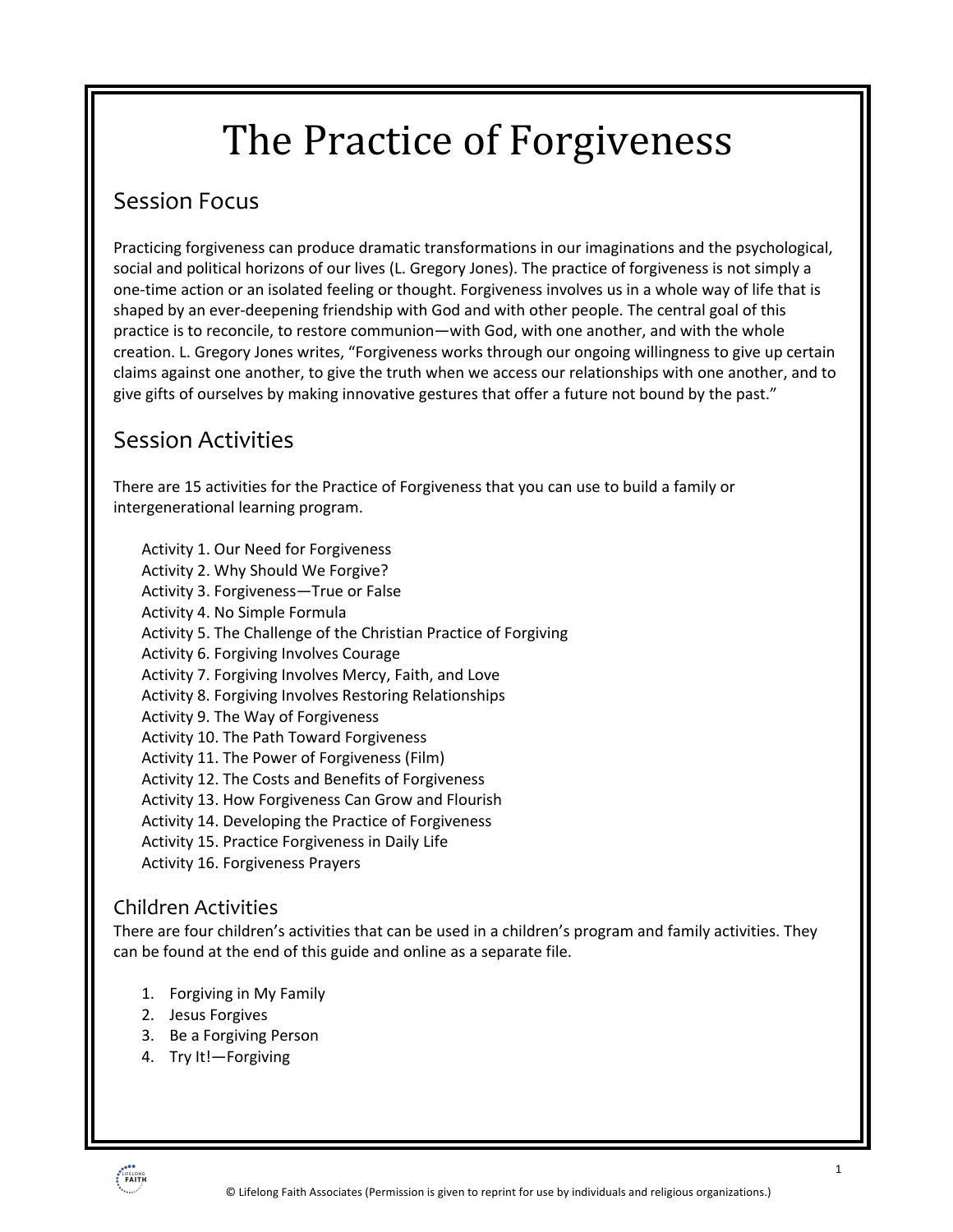# The Practice of Forgiveness

### Session Focus

Practicing forgiveness can produce dramatic transformations in our imaginations and the psychological, social and political horizons of our lives (L. Gregory Jones). The practice of forgiveness is not simply a one-time action or an isolated feeling or thought. Forgiveness involves us in a whole way of life that is shaped by an ever-deepening friendship with God and with other people. The central goal of this practice is to reconcile, to restore communion—with God, with one another, and with the whole creation. L. Gregory Jones writes, "Forgiveness works through our ongoing willingness to give up certain claims against one another, to give the truth when we access our relationships with one another, and to give gifts of ourselves by making innovative gestures that offer a future not bound by the past."

### Session Activities

There are 15 activities for the Practice of Forgiveness that you can use to build a family or intergenerational learning program.

Activity 1. Our Need for Forgiveness Activity 2. Why Should We Forgive? Activity 3. Forgiveness—True or False Activity 4. No Simple Formula Activity 5. The Challenge of the Christian Practice of Forgiving Activity 6. Forgiving Involves Courage Activity 7. Forgiving Involves Mercy, Faith, and Love Activity 8. Forgiving Involves Restoring Relationships Activity 9. The Way of Forgiveness Activity 10. The Path Toward Forgiveness Activity 11. The Power of Forgiveness (Film) Activity 12. The Costs and Benefits of Forgiveness Activity 13. How Forgiveness Can Grow and Flourish Activity 14. Developing the Practice of Forgiveness Activity 15. Practice Forgiveness in Daily Life Activity 16. Forgiveness Prayers

### Children Activities

There are four children's activities that can be used in a children's program and family activities. They can be found at the end of this guide and online as a separate file.

- 1. Forgiving in My Family
- 2. Jesus Forgives
- 3. Be a Forgiving Person
- 4. Try It!—Forgiving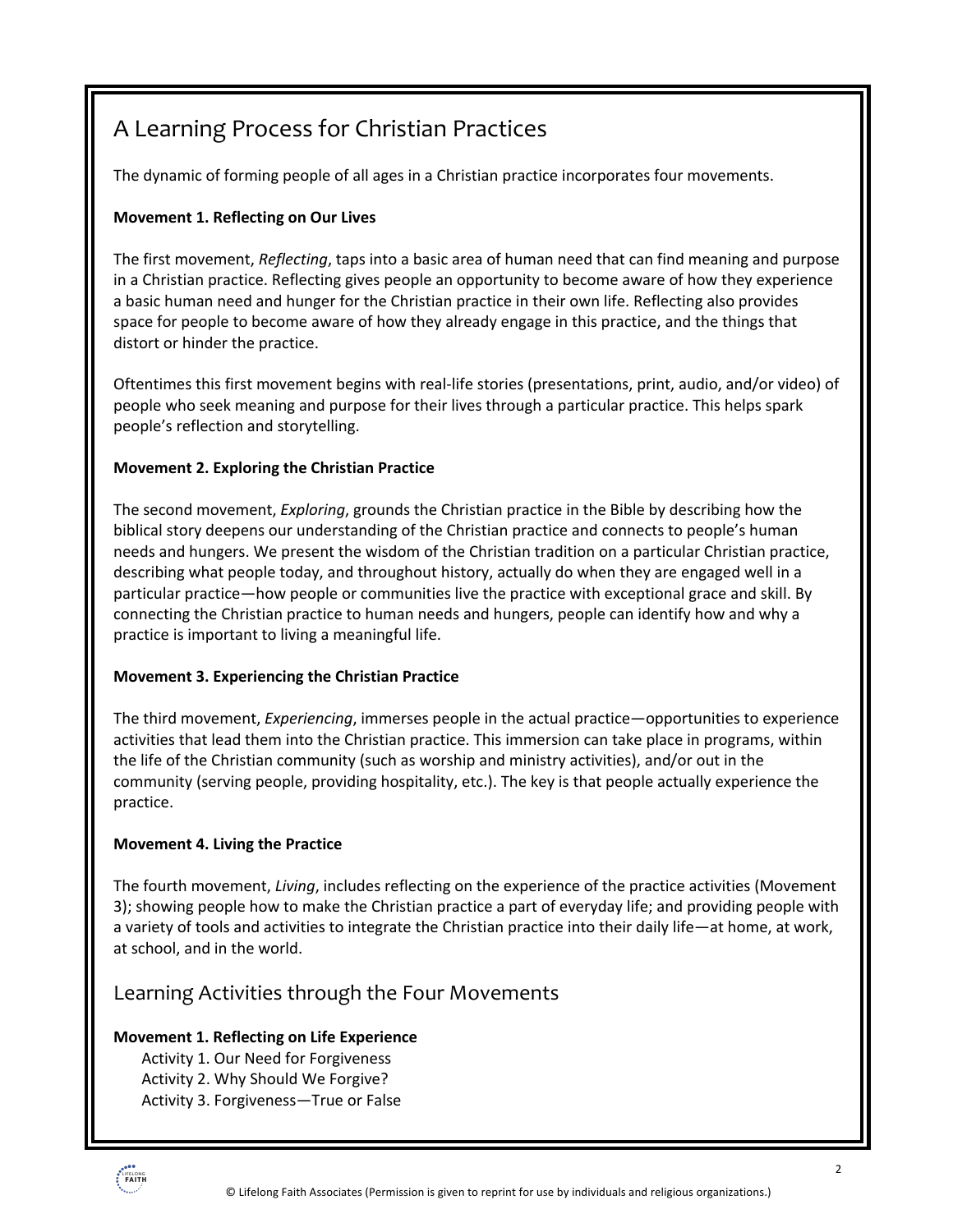### A Learning Process for Christian Practices

The dynamic of forming people of all ages in a Christian practice incorporates four movements.

#### **Movement 1. Reflecting on Our Lives**

The first movement, *Reflecting*, taps into a basic area of human need that can find meaning and purpose in a Christian practice. Reflecting gives people an opportunity to become aware of how they experience a basic human need and hunger for the Christian practice in their own life. Reflecting also provides space for people to become aware of how they already engage in this practice, and the things that distort or hinder the practice.

Oftentimes this first movement begins with real-life stories (presentations, print, audio, and/or video) of people who seek meaning and purpose for their lives through a particular practice. This helps spark people's reflection and storytelling.

#### **Movement 2. Exploring the Christian Practice**

The second movement, *Exploring*, grounds the Christian practice in the Bible by describing how the biblical story deepens our understanding of the Christian practice and connects to people's human needs and hungers. We present the wisdom of the Christian tradition on a particular Christian practice, describing what people today, and throughout history, actually do when they are engaged well in a particular practice—how people or communities live the practice with exceptional grace and skill. By connecting the Christian practice to human needs and hungers, people can identify how and why a practice is important to living a meaningful life.

#### **Movement 3. Experiencing the Christian Practice**

The third movement, *Experiencing*, immerses people in the actual practice—opportunities to experience activities that lead them into the Christian practice. This immersion can take place in programs, within the life of the Christian community (such as worship and ministry activities), and/or out in the community (serving people, providing hospitality, etc.). The key is that people actually experience the practice.

#### **Movement 4. Living the Practice**

The fourth movement, *Living*, includes reflecting on the experience of the practice activities (Movement 3); showing people how to make the Christian practice a part of everyday life; and providing people with a variety of tools and activities to integrate the Christian practice into their daily life—at home, at work, at school, and in the world.

#### Learning Activities through the Four Movements

#### **Movement 1. Reflecting on Life Experience**

Activity 1. Our Need for Forgiveness Activity 2. Why Should We Forgive? Activity 3. Forgiveness—True or False

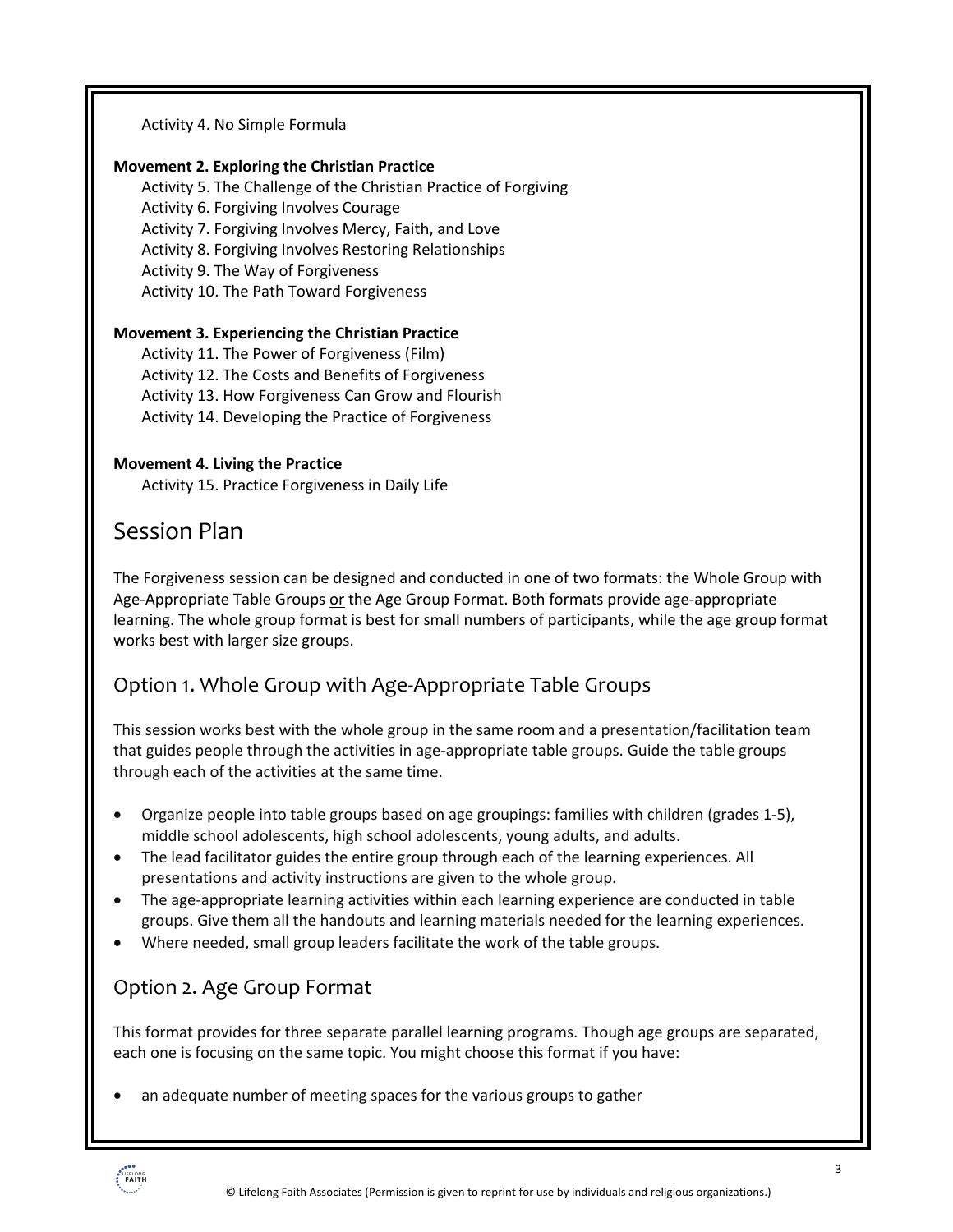Activity 4. No Simple Formula

#### **Movement 2. Exploring the Christian Practice**

Activity 5. The Challenge of the Christian Practice of Forgiving Activity 6. Forgiving Involves Courage Activity 7. Forgiving Involves Mercy, Faith, and Love

Activity 8. Forgiving Involves Restoring Relationships

Activity 9. The Way of Forgiveness

Activity 10. The Path Toward Forgiveness

#### **Movement 3. Experiencing the Christian Practice**

Activity 11. The Power of Forgiveness (Film) Activity 12. The Costs and Benefits of Forgiveness Activity 13. How Forgiveness Can Grow and Flourish Activity 14. Developing the Practice of Forgiveness

#### **Movement 4. Living the Practice**

Activity 15. Practice Forgiveness in Daily Life

### Session Plan

The Forgiveness session can be designed and conducted in one of two formats: the Whole Group with Age-Appropriate Table Groups or the Age Group Format. Both formats provide age-appropriate learning. The whole group format is best for small numbers of participants, while the age group format works best with larger size groups.

#### Option 1. Whole Group with Age-Appropriate Table Groups

This session works best with the whole group in the same room and a presentation/facilitation team that guides people through the activities in age-appropriate table groups. Guide the table groups through each of the activities at the same time.

- Organize people into table groups based on age groupings: families with children (grades 1-5), middle school adolescents, high school adolescents, young adults, and adults.
- The lead facilitator guides the entire group through each of the learning experiences. All presentations and activity instructions are given to the whole group.
- The age-appropriate learning activities within each learning experience are conducted in table groups. Give them all the handouts and learning materials needed for the learning experiences.
- Where needed, small group leaders facilitate the work of the table groups.

#### Option 2. Age Group Format

This format provides for three separate parallel learning programs. Though age groups are separated, each one is focusing on the same topic. You might choose this format if you have:

• an adequate number of meeting spaces for the various groups to gather

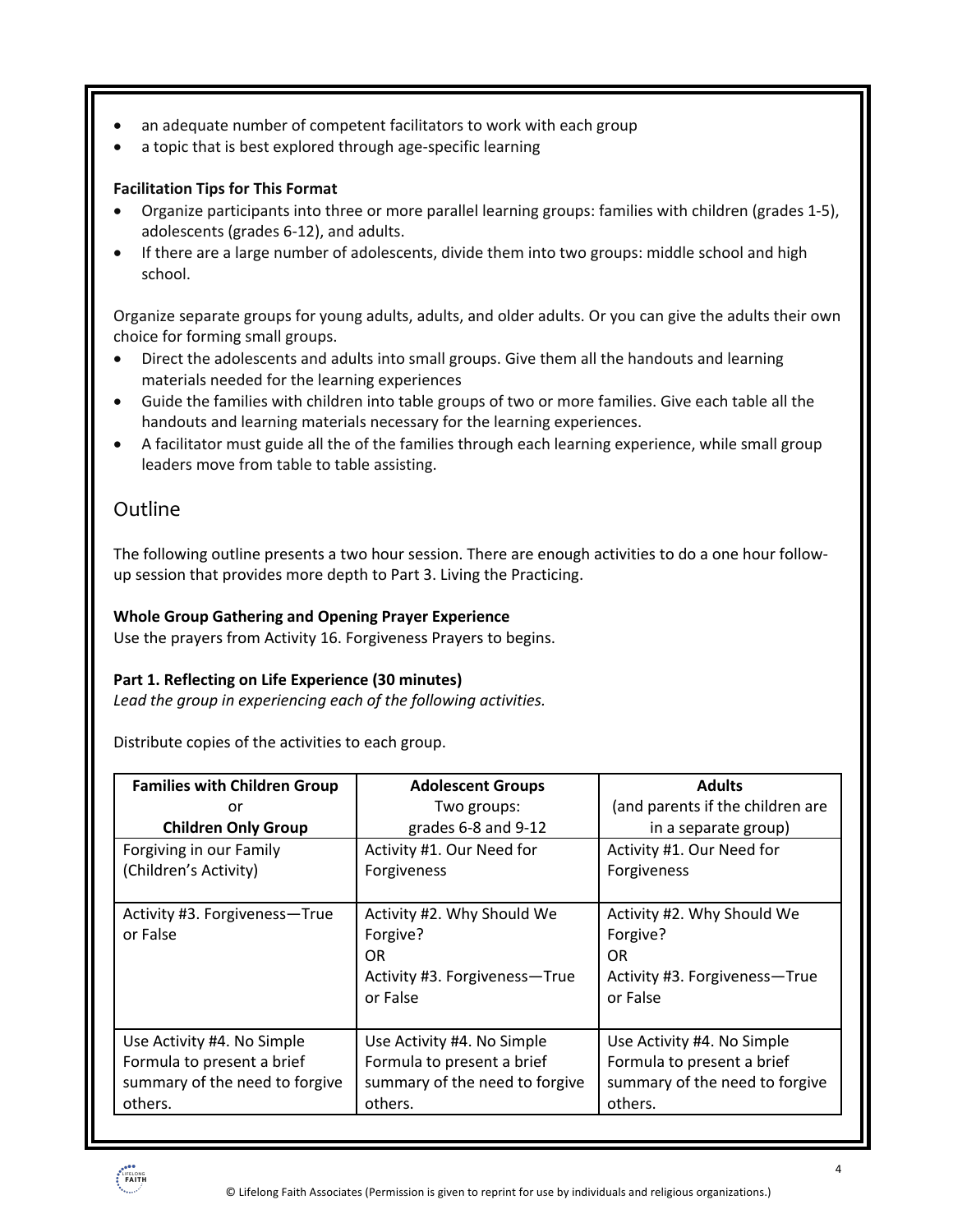- an adequate number of competent facilitators to work with each group
- a topic that is best explored through age-specific learning

#### **Facilitation Tips for This Format**

- Organize participants into three or more parallel learning groups: families with children (grades 1-5), adolescents (grades 6-12), and adults.
- If there are a large number of adolescents, divide them into two groups: middle school and high school.

Organize separate groups for young adults, adults, and older adults. Or you can give the adults their own choice for forming small groups.

- Direct the adolescents and adults into small groups. Give them all the handouts and learning materials needed for the learning experiences
- Guide the families with children into table groups of two or more families. Give each table all the handouts and learning materials necessary for the learning experiences.
- A facilitator must guide all the of the families through each learning experience, while small group leaders move from table to table assisting.

#### Outline

The following outline presents a two hour session. There are enough activities to do a one hour followup session that provides more depth to Part 3. Living the Practicing.

#### **Whole Group Gathering and Opening Prayer Experience**

Use the prayers from Activity 16. Forgiveness Prayers to begins.

#### **Part 1. Reflecting on Life Experience (30 minutes)**

*Lead the group in experiencing each of the following activities.* 

Distribute copies of the activities to each group.

| <b>Families with Children Group</b>                                                                   | <b>Adolescent Groups</b>                                                                              | <b>Adults</b>                                                                                         |  |
|-------------------------------------------------------------------------------------------------------|-------------------------------------------------------------------------------------------------------|-------------------------------------------------------------------------------------------------------|--|
| or                                                                                                    | Two groups:                                                                                           | (and parents if the children are                                                                      |  |
| <b>Children Only Group</b>                                                                            | grades 6-8 and 9-12                                                                                   | in a separate group)                                                                                  |  |
| Forgiving in our Family                                                                               | Activity #1. Our Need for                                                                             | Activity #1. Our Need for                                                                             |  |
| (Children's Activity)                                                                                 | Forgiveness                                                                                           | Forgiveness                                                                                           |  |
|                                                                                                       |                                                                                                       |                                                                                                       |  |
| Activity #3. Forgiveness-True<br>or False                                                             | Activity #2. Why Should We<br>Forgive?<br>0R<br>Activity #3. Forgiveness-True<br>or False             | Activity #2. Why Should We<br>Forgive?<br>OR.<br>Activity #3. Forgiveness-True<br>or False            |  |
| Use Activity #4. No Simple<br>Formula to present a brief<br>summary of the need to forgive<br>others. | Use Activity #4. No Simple<br>Formula to present a brief<br>summary of the need to forgive<br>others. | Use Activity #4. No Simple<br>Formula to present a brief<br>summary of the need to forgive<br>others. |  |

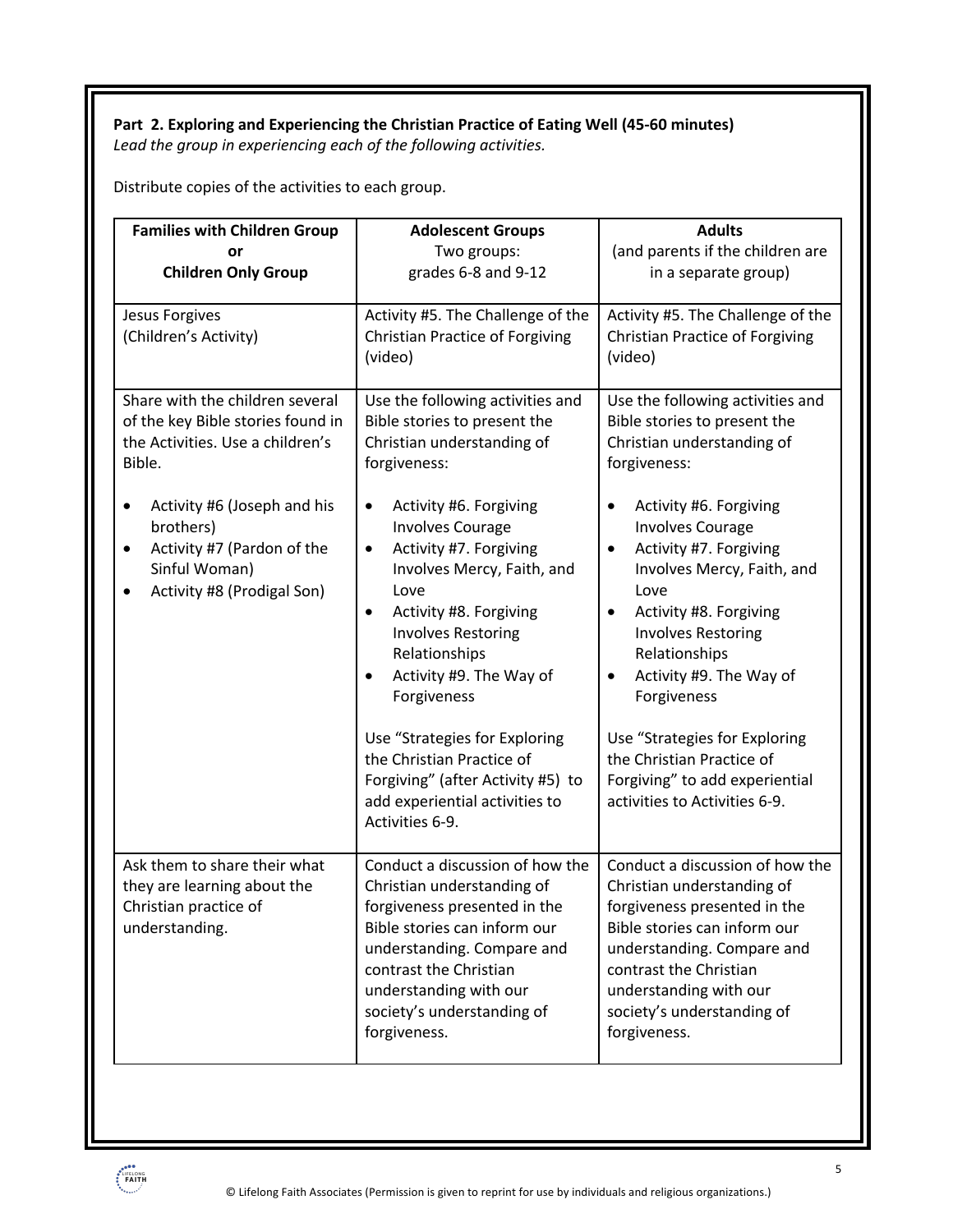#### **Part 2. Exploring and Experiencing the Christian Practice of Eating Well (45-60 minutes)** *Lead the group in experiencing each of the following activities.*

Distribute copies of the activities to each group.

| <b>Families with Children Group</b><br>or<br><b>Children Only Group</b>                                                                                                                                                                                    | <b>Adolescent Groups</b><br>Two groups:<br>grades 6-8 and 9-12                                                                                                                                                                                                                                                                                                                                                                                                                                                                                                    | <b>Adults</b><br>(and parents if the children are<br>in a separate group)                                                                                                                                                                                                                                                                                                                                                                                                              |  |
|------------------------------------------------------------------------------------------------------------------------------------------------------------------------------------------------------------------------------------------------------------|-------------------------------------------------------------------------------------------------------------------------------------------------------------------------------------------------------------------------------------------------------------------------------------------------------------------------------------------------------------------------------------------------------------------------------------------------------------------------------------------------------------------------------------------------------------------|----------------------------------------------------------------------------------------------------------------------------------------------------------------------------------------------------------------------------------------------------------------------------------------------------------------------------------------------------------------------------------------------------------------------------------------------------------------------------------------|--|
| Jesus Forgives<br>(Children's Activity)                                                                                                                                                                                                                    | Activity #5. The Challenge of the<br><b>Christian Practice of Forgiving</b><br>(video)                                                                                                                                                                                                                                                                                                                                                                                                                                                                            | Activity #5. The Challenge of the<br><b>Christian Practice of Forgiving</b><br>(video)                                                                                                                                                                                                                                                                                                                                                                                                 |  |
| Share with the children several<br>of the key Bible stories found in<br>the Activities. Use a children's<br>Bible.<br>Activity #6 (Joseph and his<br>٠<br>brothers)<br>Activity #7 (Pardon of the<br>٠<br>Sinful Woman)<br>Activity #8 (Prodigal Son)<br>٠ | Use the following activities and<br>Bible stories to present the<br>Christian understanding of<br>forgiveness:<br>Activity #6. Forgiving<br>$\bullet$<br><b>Involves Courage</b><br>Activity #7. Forgiving<br>$\bullet$<br>Involves Mercy, Faith, and<br>Love<br>Activity #8. Forgiving<br>$\bullet$<br><b>Involves Restoring</b><br>Relationships<br>Activity #9. The Way of<br>$\bullet$<br>Forgiveness<br>Use "Strategies for Exploring<br>the Christian Practice of<br>Forgiving" (after Activity #5) to<br>add experiential activities to<br>Activities 6-9. | Use the following activities and<br>Bible stories to present the<br>Christian understanding of<br>forgiveness:<br>Activity #6. Forgiving<br><b>Involves Courage</b><br>Activity #7. Forgiving<br>Involves Mercy, Faith, and<br>Love<br>Activity #8. Forgiving<br><b>Involves Restoring</b><br>Relationships<br>Activity #9. The Way of<br>Forgiveness<br>Use "Strategies for Exploring<br>the Christian Practice of<br>Forgiving" to add experiential<br>activities to Activities 6-9. |  |
| Ask them to share their what<br>they are learning about the<br>Christian practice of<br>understanding.                                                                                                                                                     | Conduct a discussion of how the<br>Christian understanding of<br>forgiveness presented in the<br>Bible stories can inform our<br>understanding. Compare and<br>contrast the Christian<br>understanding with our<br>society's understanding of<br>forgiveness.                                                                                                                                                                                                                                                                                                     | Conduct a discussion of how the<br>Christian understanding of<br>forgiveness presented in the<br>Bible stories can inform our<br>understanding. Compare and<br>contrast the Christian<br>understanding with our<br>society's understanding of<br>forgiveness.                                                                                                                                                                                                                          |  |

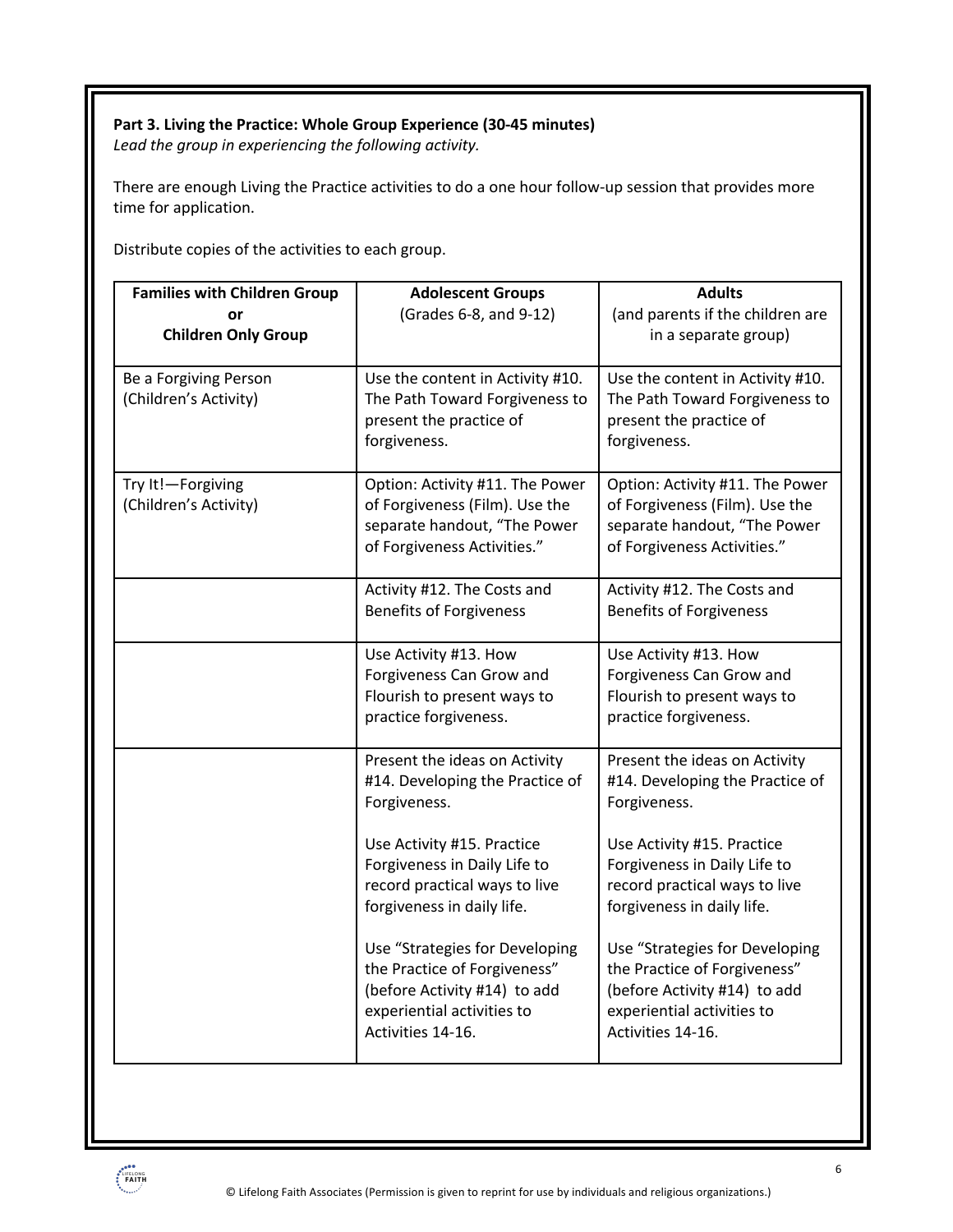#### **Part 3. Living the Practice: Whole Group Experience (30-45 minutes)**

*Lead the group in experiencing the following activity.*

There are enough Living the Practice activities to do a one hour follow-up session that provides more time for application.

Distribute copies of the activities to each group.

| <b>Families with Children Group</b><br>or<br><b>Children Only Group</b> | <b>Adolescent Groups</b><br>(Grades 6-8, and 9-12)                                                                                                | <b>Adults</b><br>(and parents if the children are<br>in a separate group)                                                                         |  |  |
|-------------------------------------------------------------------------|---------------------------------------------------------------------------------------------------------------------------------------------------|---------------------------------------------------------------------------------------------------------------------------------------------------|--|--|
| Be a Forgiving Person<br>(Children's Activity)                          | Use the content in Activity #10.<br>The Path Toward Forgiveness to<br>present the practice of<br>forgiveness.                                     | Use the content in Activity #10.<br>The Path Toward Forgiveness to<br>present the practice of<br>forgiveness.                                     |  |  |
| Try It!-Forgiving<br>(Children's Activity)                              | Option: Activity #11. The Power<br>of Forgiveness (Film). Use the<br>separate handout, "The Power<br>of Forgiveness Activities."                  | Option: Activity #11. The Power<br>of Forgiveness (Film). Use the<br>separate handout, "The Power<br>of Forgiveness Activities."                  |  |  |
|                                                                         | Activity #12. The Costs and<br><b>Benefits of Forgiveness</b>                                                                                     | Activity #12. The Costs and<br><b>Benefits of Forgiveness</b>                                                                                     |  |  |
|                                                                         | Use Activity #13. How<br>Forgiveness Can Grow and<br>Flourish to present ways to<br>practice forgiveness.                                         | Use Activity #13. How<br>Forgiveness Can Grow and<br>Flourish to present ways to<br>practice forgiveness.                                         |  |  |
|                                                                         | Present the ideas on Activity<br>#14. Developing the Practice of<br>Forgiveness.                                                                  | Present the ideas on Activity<br>#14. Developing the Practice of<br>Forgiveness.                                                                  |  |  |
|                                                                         | Use Activity #15. Practice<br>Forgiveness in Daily Life to<br>record practical ways to live<br>forgiveness in daily life.                         | Use Activity #15. Practice<br>Forgiveness in Daily Life to<br>record practical ways to live<br>forgiveness in daily life.                         |  |  |
|                                                                         | Use "Strategies for Developing<br>the Practice of Forgiveness"<br>(before Activity #14) to add<br>experiential activities to<br>Activities 14-16. | Use "Strategies for Developing<br>the Practice of Forgiveness"<br>(before Activity #14) to add<br>experiential activities to<br>Activities 14-16. |  |  |

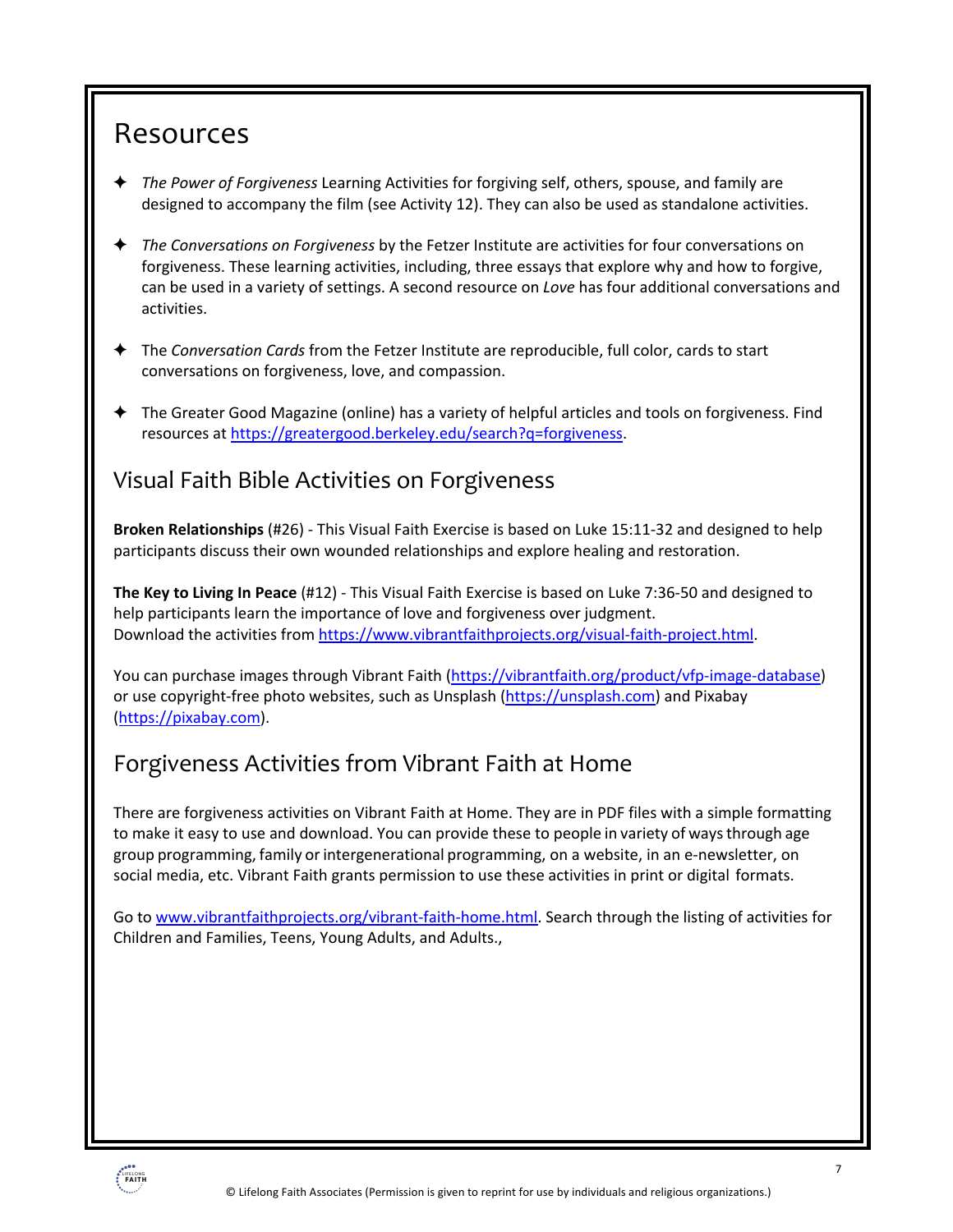### Resources

- ! *The Power of Forgiveness* Learning Activities for forgiving self, others, spouse, and family are designed to accompany the film (see Activity 12). They can also be used as standalone activities.
- ! *The Conversations on Forgiveness* by the Fetzer Institute are activities for four conversations on forgiveness. These learning activities, including, three essays that explore why and how to forgive, can be used in a variety of settings. A second resource on *Love* has four additional conversations and activities.
- ! The *Conversation Cards* from the Fetzer Institute are reproducible, full color, cards to start conversations on forgiveness, love, and compassion.
- ! The Greater Good Magazine (online) has a variety of helpful articles and tools on forgiveness. Find resources at https://greatergood.berkeley.edu/search?q=forgiveness.

### Visual Faith Bible Activities on Forgiveness

**Broken Relationships** (#26) - This Visual Faith Exercise is based on Luke 15:11-32 and designed to help participants discuss their own wounded relationships and explore healing and restoration.

**The Key to Living In Peace** (#12) - This Visual Faith Exercise is based on Luke 7:36-50 and designed to help participants learn the importance of love and forgiveness over judgment. Download the activities from https://www.vibrantfaithprojects.org/visual-faith-project.html.

You can purchase images through Vibrant Faith (https://vibrantfaith.org/product/vfp-image-database) or use copyright-free photo websites, such as Unsplash (https://unsplash.com) and Pixabay (https://pixabay.com).

### Forgiveness Activities from Vibrant Faith at Home

There are forgiveness activities on Vibrant Faith at Home. They are in PDF files with a simple formatting to make it easy to use and download. You can provide these to people in variety of waysthrough age group programming, family orintergenerational programming, on a website, in an e-newsletter, on social media, etc. Vibrant Faith grants permission to use these activities in print or digital formats.

Go to www.vibrantfaithprojects.org/vibrant-faith-home.html. Search through the listing of activities for Children and Families, Teens, Young Adults, and Adults.,

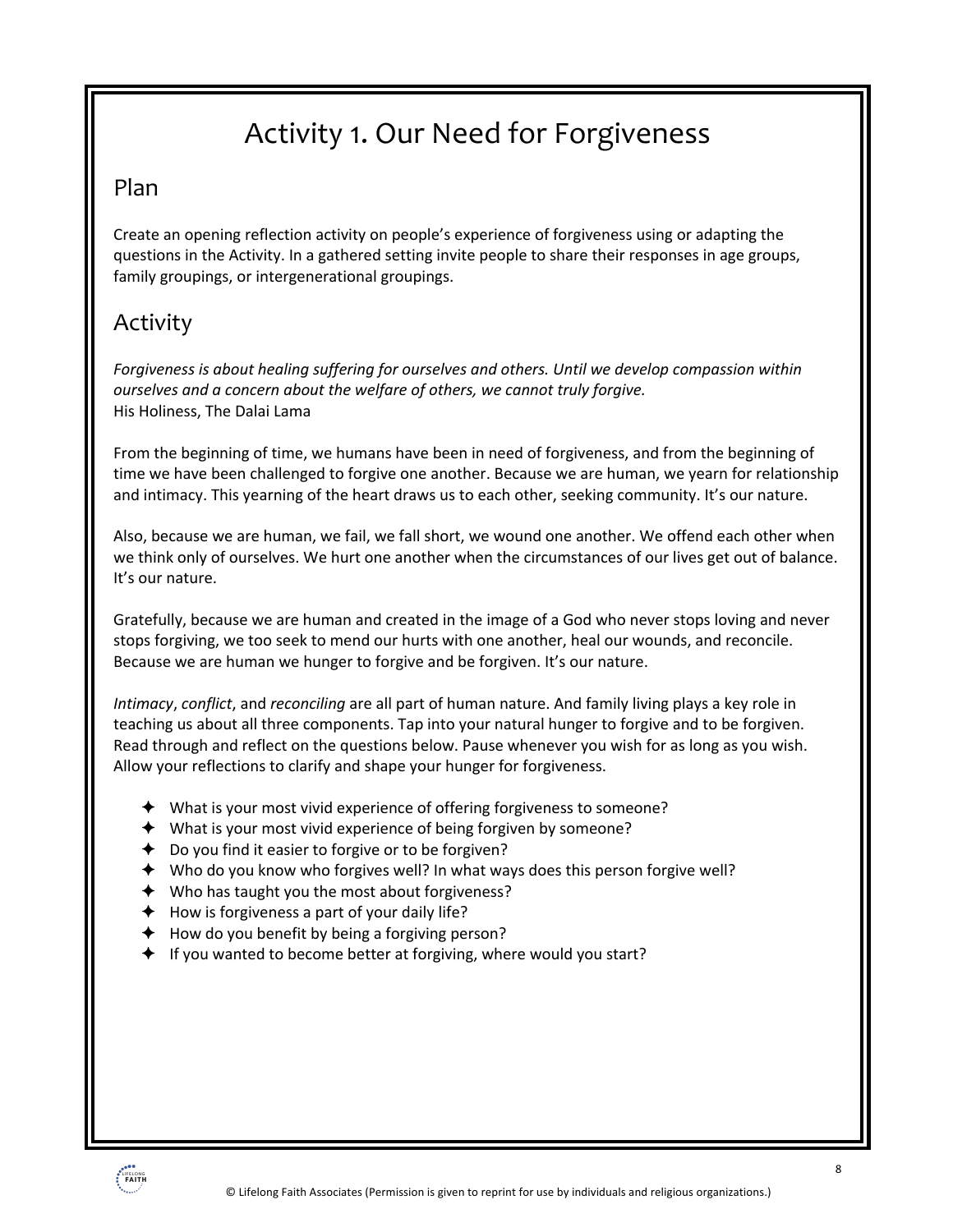## Activity 1. Our Need for Forgiveness

### Plan

Create an opening reflection activity on people's experience of forgiveness using or adapting the questions in the Activity. In a gathered setting invite people to share their responses in age groups, family groupings, or intergenerational groupings.

### Activity

*Forgiveness is about healing suffering for ourselves and others. Until we develop compassion within ourselves and a concern about the welfare of others, we cannot truly forgive.* His Holiness, The Dalai Lama

From the beginning of time, we humans have been in need of forgiveness, and from the beginning of time we have been challenged to forgive one another. Because we are human, we yearn for relationship and intimacy. This yearning of the heart draws us to each other, seeking community. It's our nature.

Also, because we are human, we fail, we fall short, we wound one another. We offend each other when we think only of ourselves. We hurt one another when the circumstances of our lives get out of balance. It's our nature.

Gratefully, because we are human and created in the image of a God who never stops loving and never stops forgiving, we too seek to mend our hurts with one another, heal our wounds, and reconcile. Because we are human we hunger to forgive and be forgiven. It's our nature.

*Intimacy*, *conflict*, and *reconciling* are all part of human nature. And family living plays a key role in teaching us about all three components. Tap into your natural hunger to forgive and to be forgiven. Read through and reflect on the questions below. Pause whenever you wish for as long as you wish. Allow your reflections to clarify and shape your hunger for forgiveness.

- $\triangleq$  What is your most vivid experience of offering forgiveness to someone?
- $\blacklozenge$  What is your most vivid experience of being forgiven by someone?
- $\triangle$  Do you find it easier to forgive or to be forgiven?
- $\blacklozenge$  Who do you know who forgives well? In what ways does this person forgive well?
- $\blacklozenge$  Who has taught you the most about forgiveness?
- $\blacklozenge$  How is forgiveness a part of your daily life?
- $\triangleleft$  How do you benefit by being a forgiving person?
- $\blacklozenge$  If you wanted to become better at forgiving, where would you start?

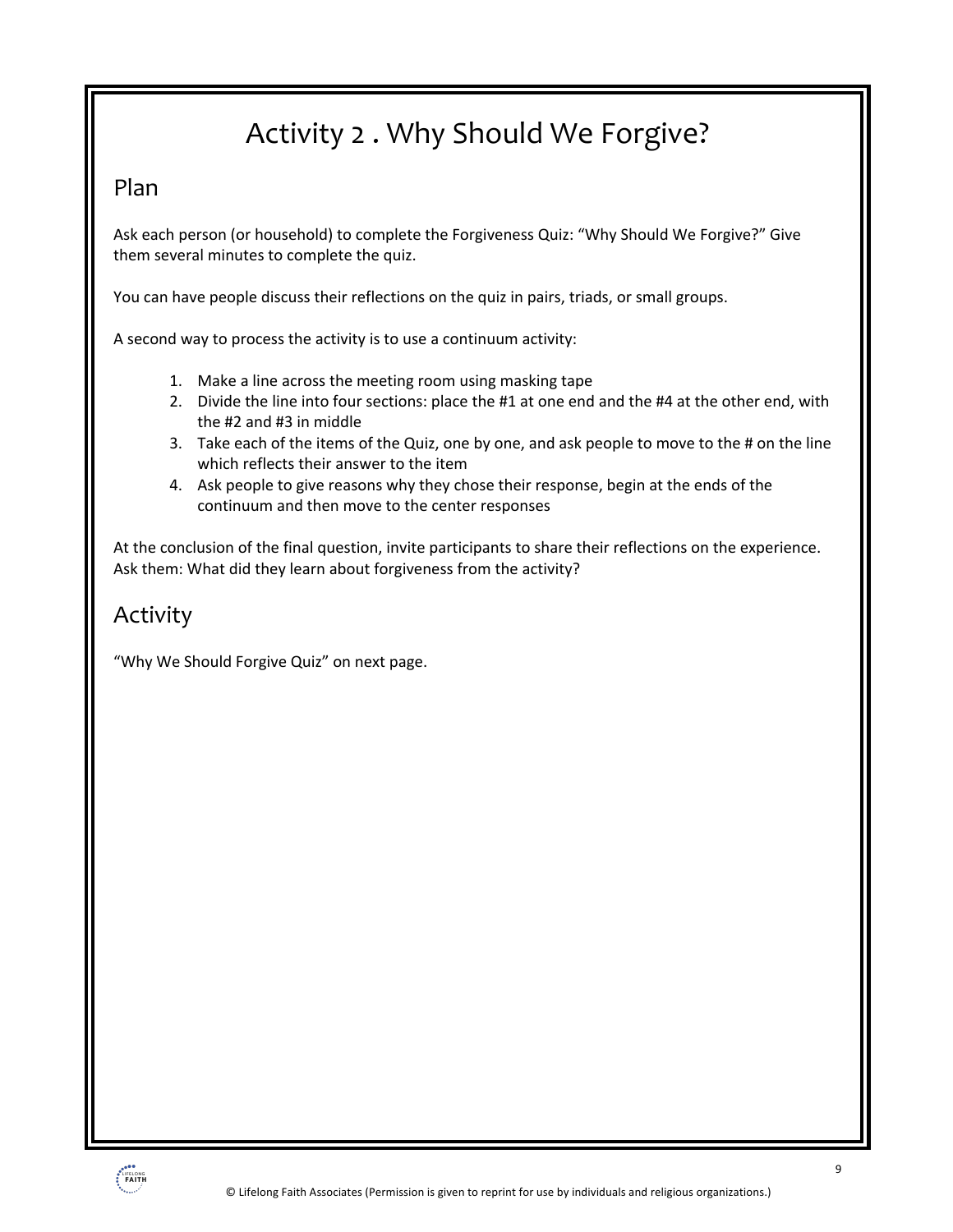## Activity 2 . Why Should We Forgive?

#### Plan

Ask each person (or household) to complete the Forgiveness Quiz: "Why Should We Forgive?" Give them several minutes to complete the quiz.

You can have people discuss their reflections on the quiz in pairs, triads, or small groups.

A second way to process the activity is to use a continuum activity:

- 1. Make a line across the meeting room using masking tape
- 2. Divide the line into four sections: place the #1 at one end and the #4 at the other end, with the #2 and #3 in middle
- 3. Take each of the items of the Quiz, one by one, and ask people to move to the # on the line which reflects their answer to the item
- 4. Ask people to give reasons why they chose their response, begin at the ends of the continuum and then move to the center responses

At the conclusion of the final question, invite participants to share their reflections on the experience. Ask them: What did they learn about forgiveness from the activity?

### Activity

"Why We Should Forgive Quiz" on next page.

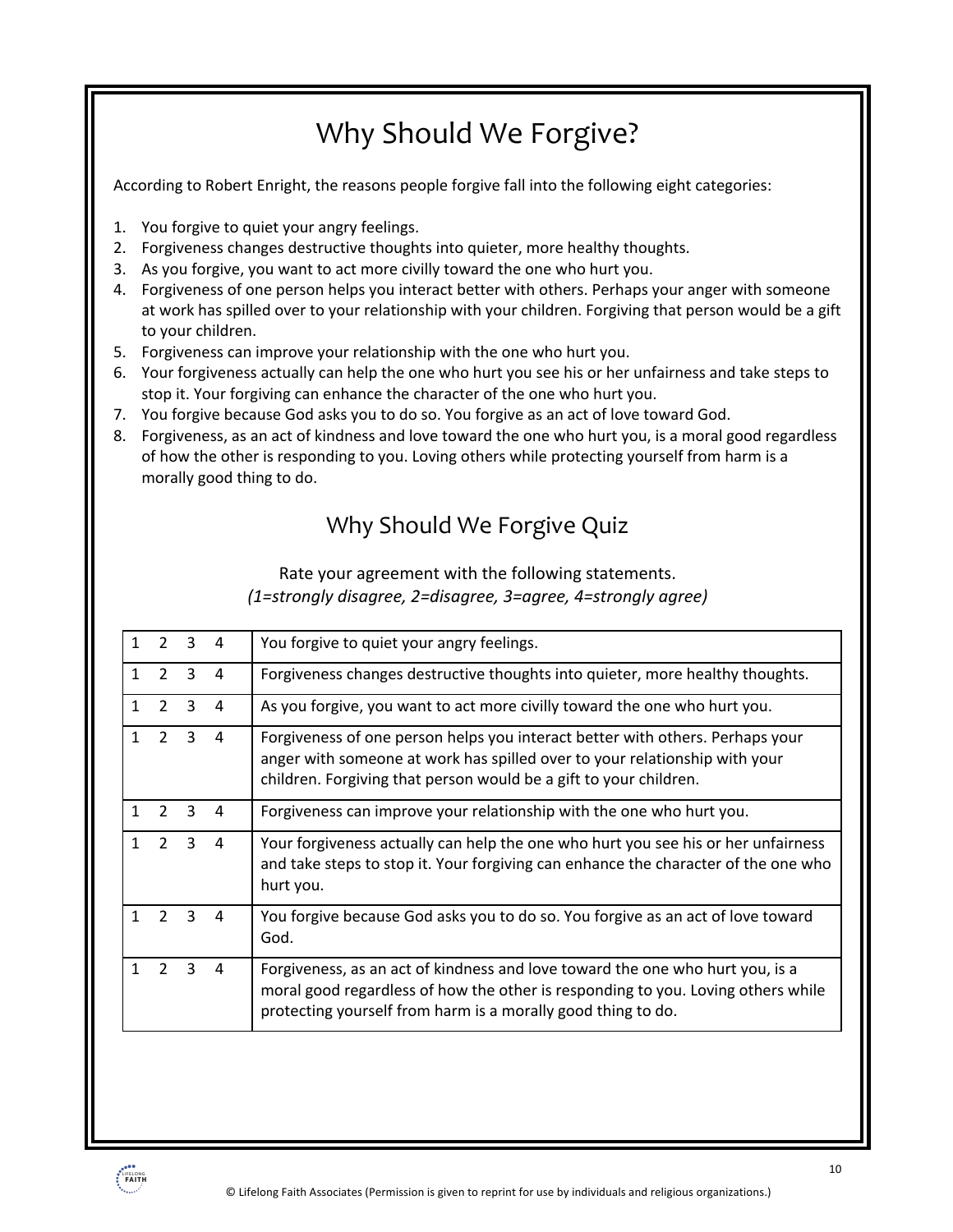## Why Should We Forgive?

According to Robert Enright, the reasons people forgive fall into the following eight categories:

- 1. You forgive to quiet your angry feelings.
- 2. Forgiveness changes destructive thoughts into quieter, more healthy thoughts.
- 3. As you forgive, you want to act more civilly toward the one who hurt you.
- 4. Forgiveness of one person helps you interact better with others. Perhaps your anger with someone at work has spilled over to your relationship with your children. Forgiving that person would be a gift to your children.
- 5. Forgiveness can improve your relationship with the one who hurt you.
- 6. Your forgiveness actually can help the one who hurt you see his or her unfairness and take steps to stop it. Your forgiving can enhance the character of the one who hurt you.
- 7. You forgive because God asks you to do so. You forgive as an act of love toward God.
- 8. Forgiveness, as an act of kindness and love toward the one who hurt you, is a moral good regardless of how the other is responding to you. Loving others while protecting yourself from harm is a morally good thing to do.

### Why Should We Forgive Quiz

#### Rate your agreement with the following statements. *(1=strongly disagree, 2=disagree, 3=agree, 4=strongly agree)*

| 1            | $2^{\circ}$    | $\overline{3}$   | 4              | You forgive to quiet your angry feelings.                                                                                                                                                                                         |
|--------------|----------------|------------------|----------------|-----------------------------------------------------------------------------------------------------------------------------------------------------------------------------------------------------------------------------------|
| $\mathbf{1}$ | $\mathcal{P}$  | 3                | 4              | Forgiveness changes destructive thoughts into quieter, more healthy thoughts.                                                                                                                                                     |
| $\mathbf{1}$ | $2^{\circ}$    | $\overline{3}$   | 4              | As you forgive, you want to act more civilly toward the one who hurt you.                                                                                                                                                         |
| $\mathbf{1}$ |                | $2 \quad 3$      | $\overline{4}$ | Forgiveness of one person helps you interact better with others. Perhaps your<br>anger with someone at work has spilled over to your relationship with your<br>children. Forgiving that person would be a gift to your children.  |
| $\mathbf{1}$ | $\overline{2}$ | 3                | 4              | Forgiveness can improve your relationship with the one who hurt you.                                                                                                                                                              |
| $\mathbf{1}$ |                | $2 \quad 3$      | 4              | Your forgiveness actually can help the one who hurt you see his or her unfairness<br>and take steps to stop it. Your forgiving can enhance the character of the one who<br>hurt you.                                              |
| 1            | $\overline{2}$ | $\mathbf{3}$     | 4              | You forgive because God asks you to do so. You forgive as an act of love toward<br>God.                                                                                                                                           |
| $\mathbf{1}$ |                | $2 \overline{3}$ | 4              | Forgiveness, as an act of kindness and love toward the one who hurt you, is a<br>moral good regardless of how the other is responding to you. Loving others while<br>protecting yourself from harm is a morally good thing to do. |
|              |                |                  |                |                                                                                                                                                                                                                                   |

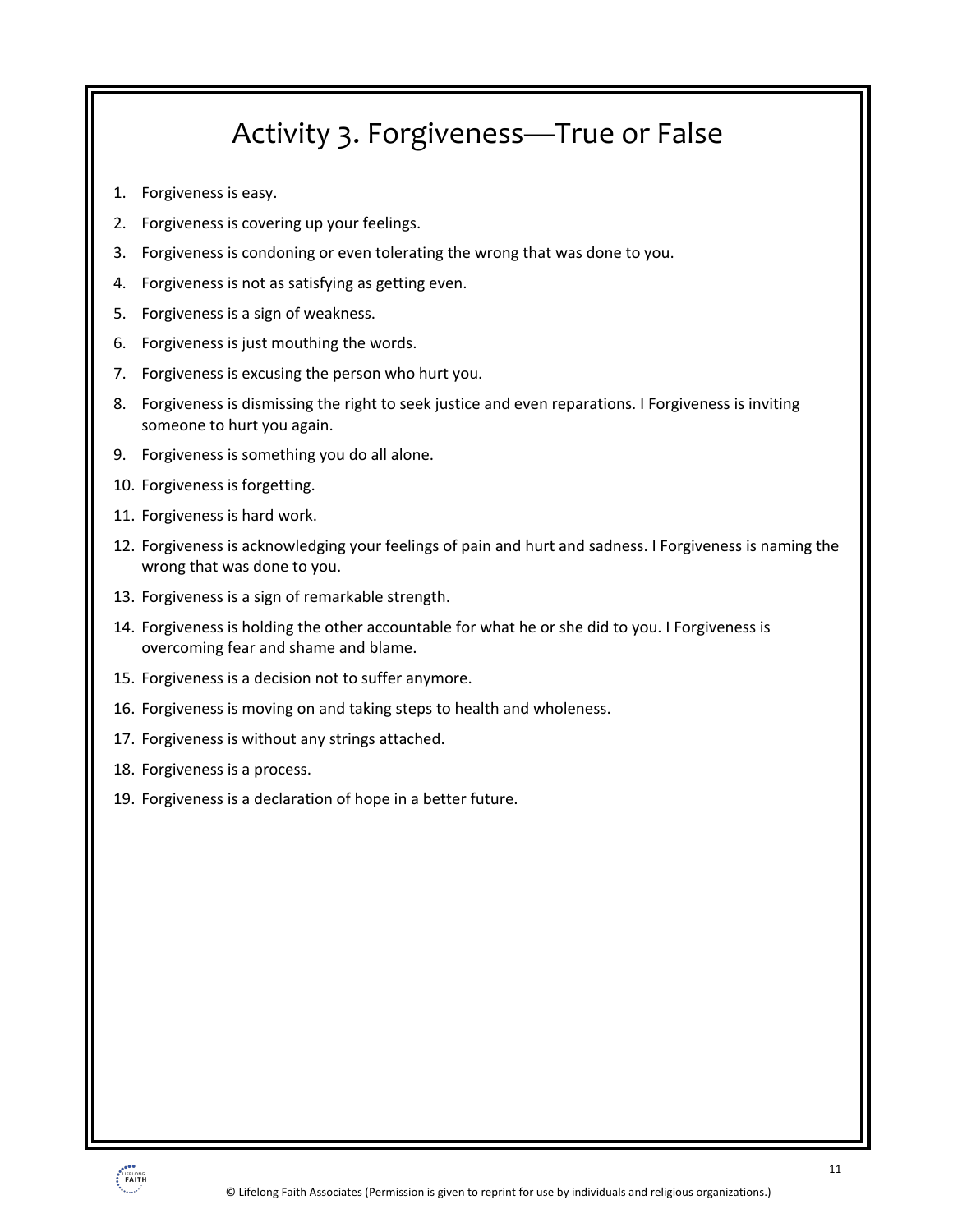## Activity 3. Forgiveness—True or False

- 1. Forgiveness is easy.
- 2. Forgiveness is covering up your feelings.
- 3. Forgiveness is condoning or even tolerating the wrong that was done to you.
- 4. Forgiveness is not as satisfying as getting even.
- 5. Forgiveness is a sign of weakness.
- 6. Forgiveness is just mouthing the words.
- 7. Forgiveness is excusing the person who hurt you.
- 8. Forgiveness is dismissing the right to seek justice and even reparations. I Forgiveness is inviting someone to hurt you again.
- 9. Forgiveness is something you do all alone.
- 10. Forgiveness is forgetting.
- 11. Forgiveness is hard work.
- 12. Forgiveness is acknowledging your feelings of pain and hurt and sadness. I Forgiveness is naming the wrong that was done to you.
- 13. Forgiveness is a sign of remarkable strength.
- 14. Forgiveness is holding the other accountable for what he or she did to you. I Forgiveness is overcoming fear and shame and blame.
- 15. Forgiveness is a decision not to suffer anymore.
- 16. Forgiveness is moving on and taking steps to health and wholeness.
- 17. Forgiveness is without any strings attached.
- 18. Forgiveness is a process.
- 19. Forgiveness is a declaration of hope in a better future.

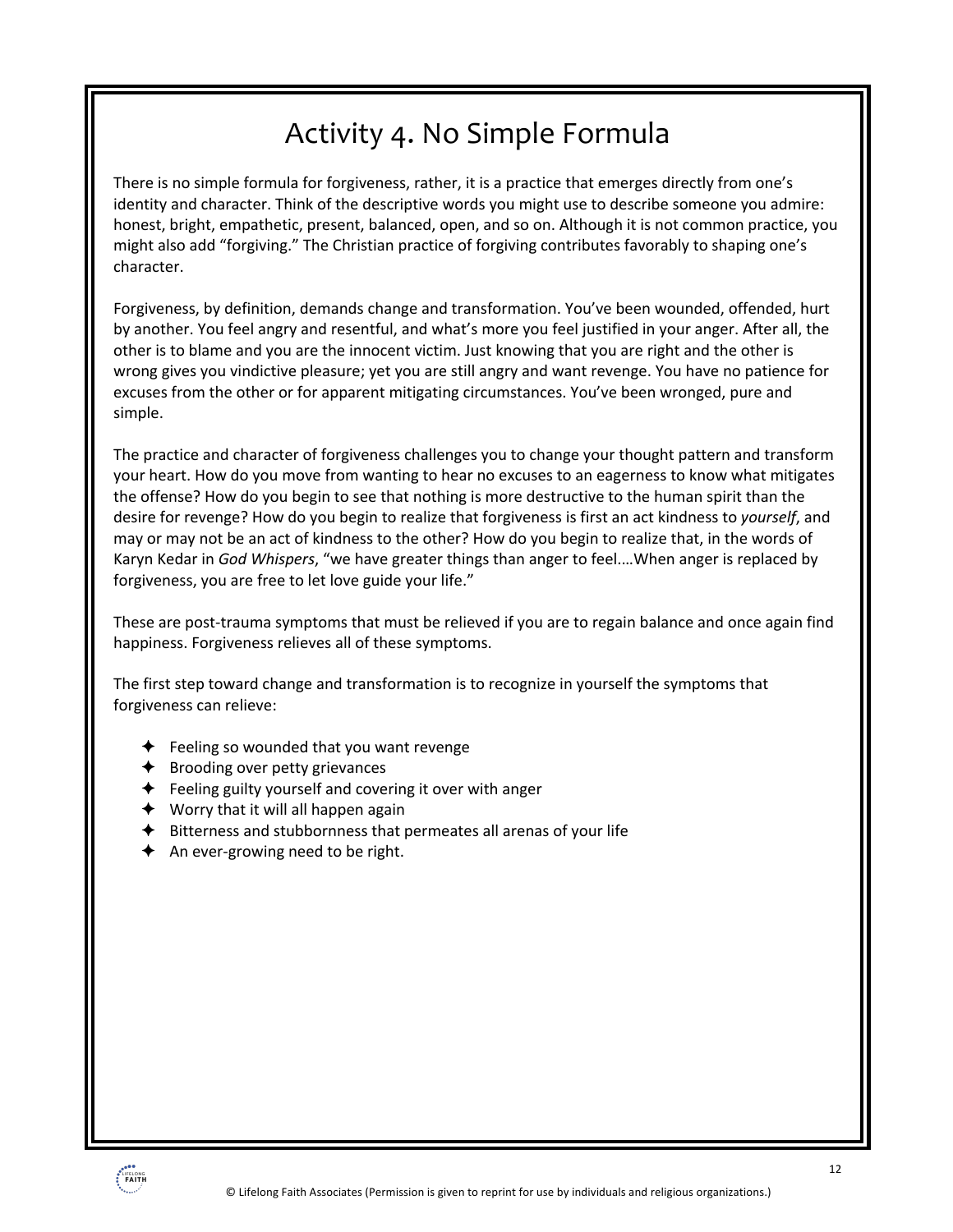## Activity 4. No Simple Formula

There is no simple formula for forgiveness, rather, it is a practice that emerges directly from one's identity and character. Think of the descriptive words you might use to describe someone you admire: honest, bright, empathetic, present, balanced, open, and so on. Although it is not common practice, you might also add "forgiving." The Christian practice of forgiving contributes favorably to shaping one's character.

Forgiveness, by definition, demands change and transformation. You've been wounded, offended, hurt by another. You feel angry and resentful, and what's more you feel justified in your anger. After all, the other is to blame and you are the innocent victim. Just knowing that you are right and the other is wrong gives you vindictive pleasure; yet you are still angry and want revenge. You have no patience for excuses from the other or for apparent mitigating circumstances. You've been wronged, pure and simple.

The practice and character of forgiveness challenges you to change your thought pattern and transform your heart. How do you move from wanting to hear no excuses to an eagerness to know what mitigates the offense? How do you begin to see that nothing is more destructive to the human spirit than the desire for revenge? How do you begin to realize that forgiveness is first an act kindness to *yourself*, and may or may not be an act of kindness to the other? How do you begin to realize that, in the words of Karyn Kedar in *God Whispers*, "we have greater things than anger to feel.…When anger is replaced by forgiveness, you are free to let love guide your life."

These are post-trauma symptoms that must be relieved if you are to regain balance and once again find happiness. Forgiveness relieves all of these symptoms.

The first step toward change and transformation is to recognize in yourself the symptoms that forgiveness can relieve:

- $\triangle$  Feeling so wounded that you want revenge
- $\triangleleft$  Brooding over petty grievances
- $\triangle$  Feeling guilty yourself and covering it over with anger
- $\blacklozenge$  Worry that it will all happen again
- $\triangleq$  Bitterness and stubbornness that permeates all arenas of your life
- $\triangleleft$  An ever-growing need to be right.

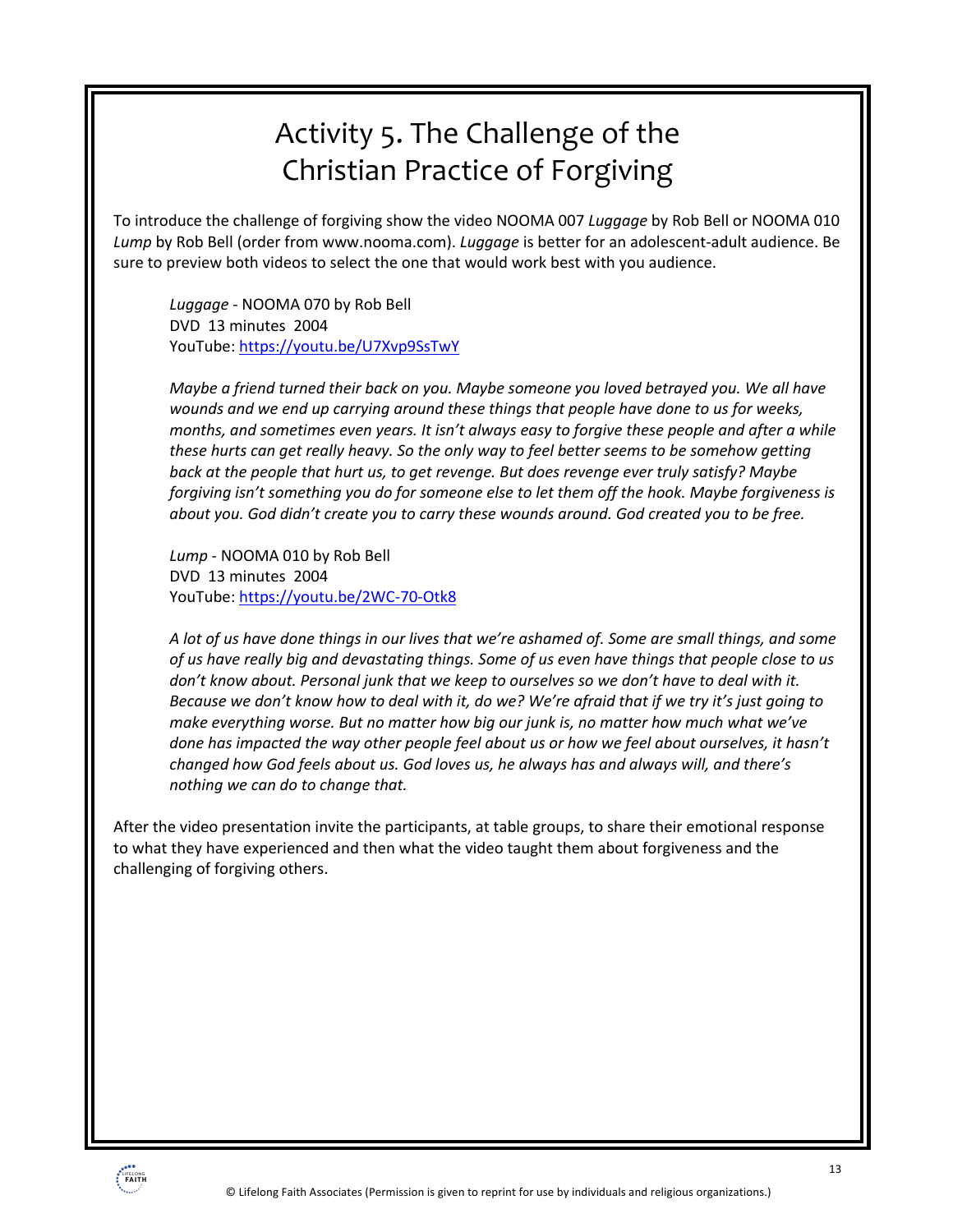## Activity 5. The Challenge of the Christian Practice of Forgiving

To introduce the challenge of forgiving show the video NOOMA 007 *Luggage* by Rob Bell or NOOMA 010 *Lump* by Rob Bell (order from www.nooma.com). *Luggage* is better for an adolescent-adult audience. Be sure to preview both videos to select the one that would work best with you audience.

*Luggage* - NOOMA 070 by Rob Bell DVD 13 minutes 2004 YouTube: https://youtu.be/U7Xvp9SsTwY

*Maybe a friend turned their back on you. Maybe someone you loved betrayed you. We all have wounds and we end up carrying around these things that people have done to us for weeks, months, and sometimes even years. It isn't always easy to forgive these people and after a while these hurts can get really heavy. So the only way to feel better seems to be somehow getting back at the people that hurt us, to get revenge. But does revenge ever truly satisfy? Maybe forgiving isn't something you do for someone else to let them off the hook. Maybe forgiveness is about you. God didn't create you to carry these wounds around. God created you to be free.*

*Lump* - NOOMA 010 by Rob Bell DVD 13 minutes 2004 YouTube: https://youtu.be/2WC-70-Otk8

*A lot of us have done things in our lives that we're ashamed of. Some are small things, and some of us have really big and devastating things. Some of us even have things that people close to us don't know about. Personal junk that we keep to ourselves so we don't have to deal with it. Because we don't know how to deal with it, do we? We're afraid that if we try it's just going to make everything worse. But no matter how big our junk is, no matter how much what we've done has impacted the way other people feel about us or how we feel about ourselves, it hasn't changed how God feels about us. God loves us, he always has and always will, and there's nothing we can do to change that.*

After the video presentation invite the participants, at table groups, to share their emotional response to what they have experienced and then what the video taught them about forgiveness and the challenging of forgiving others.

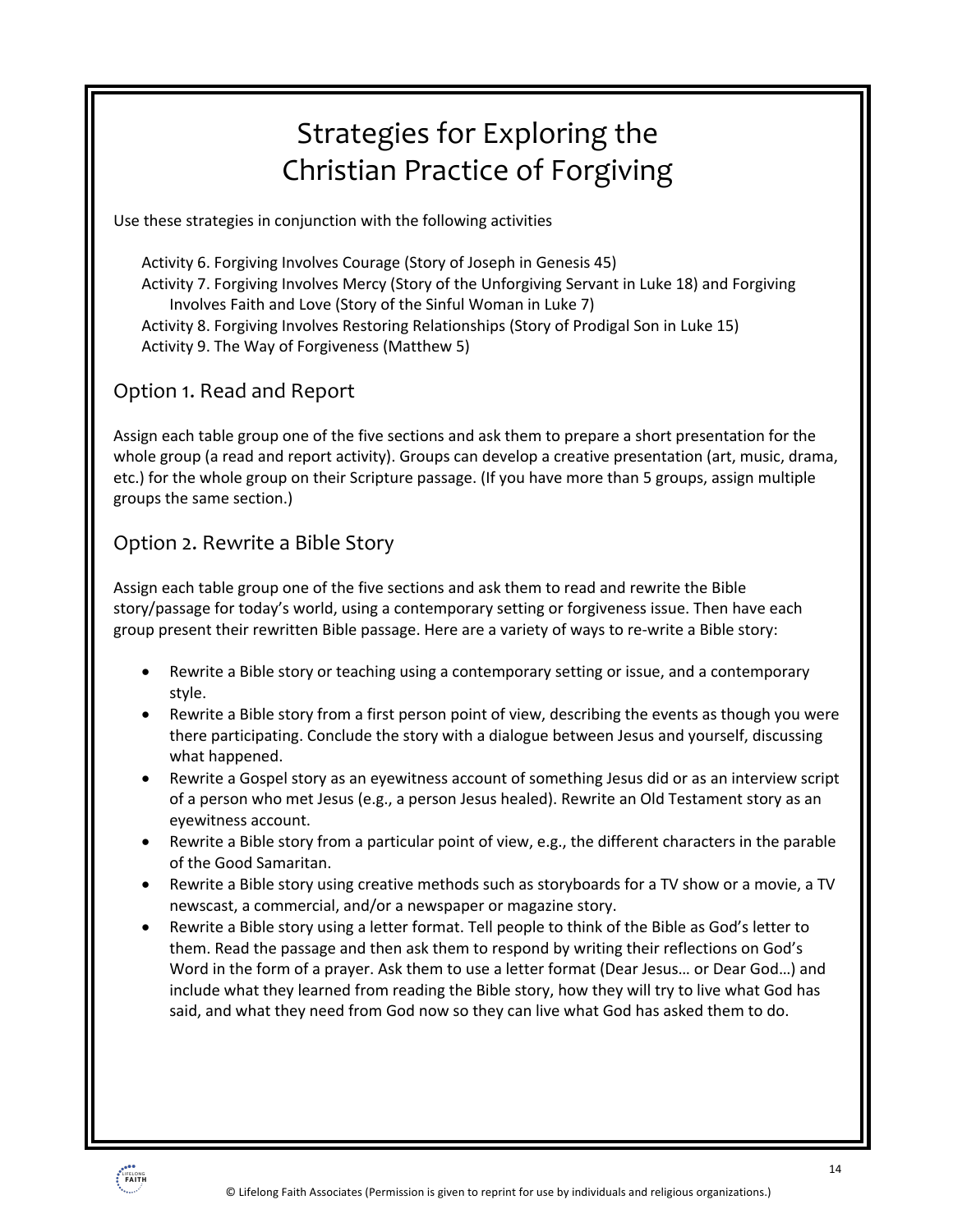## Strategies for Exploring the Christian Practice of Forgiving

Use these strategies in conjunction with the following activities

Activity 6. Forgiving Involves Courage (Story of Joseph in Genesis 45) Activity 7. Forgiving Involves Mercy (Story of the Unforgiving Servant in Luke 18) and Forgiving Involves Faith and Love (Story of the Sinful Woman in Luke 7) Activity 8. Forgiving Involves Restoring Relationships (Story of Prodigal Son in Luke 15) Activity 9. The Way of Forgiveness (Matthew 5)

### Option 1. Read and Report

Assign each table group one of the five sections and ask them to prepare a short presentation for the whole group (a read and report activity). Groups can develop a creative presentation (art, music, drama, etc.) for the whole group on their Scripture passage. (If you have more than 5 groups, assign multiple groups the same section.)

#### Option 2. Rewrite a Bible Story

Assign each table group one of the five sections and ask them to read and rewrite the Bible story/passage for today's world, using a contemporary setting or forgiveness issue. Then have each group present their rewritten Bible passage. Here are a variety of ways to re-write a Bible story:

- Rewrite a Bible story or teaching using a contemporary setting or issue, and a contemporary style.
- Rewrite a Bible story from a first person point of view, describing the events as though you were there participating. Conclude the story with a dialogue between Jesus and yourself, discussing what happened.
- Rewrite a Gospel story as an eyewitness account of something Jesus did or as an interview script of a person who met Jesus (e.g., a person Jesus healed). Rewrite an Old Testament story as an eyewitness account.
- Rewrite a Bible story from a particular point of view, e.g., the different characters in the parable of the Good Samaritan.
- Rewrite a Bible story using creative methods such as storyboards for a TV show or a movie, a TV newscast, a commercial, and/or a newspaper or magazine story.
- Rewrite a Bible story using a letter format. Tell people to think of the Bible as God's letter to them. Read the passage and then ask them to respond by writing their reflections on God's Word in the form of a prayer. Ask them to use a letter format (Dear Jesus… or Dear God…) and include what they learned from reading the Bible story, how they will try to live what God has said, and what they need from God now so they can live what God has asked them to do.

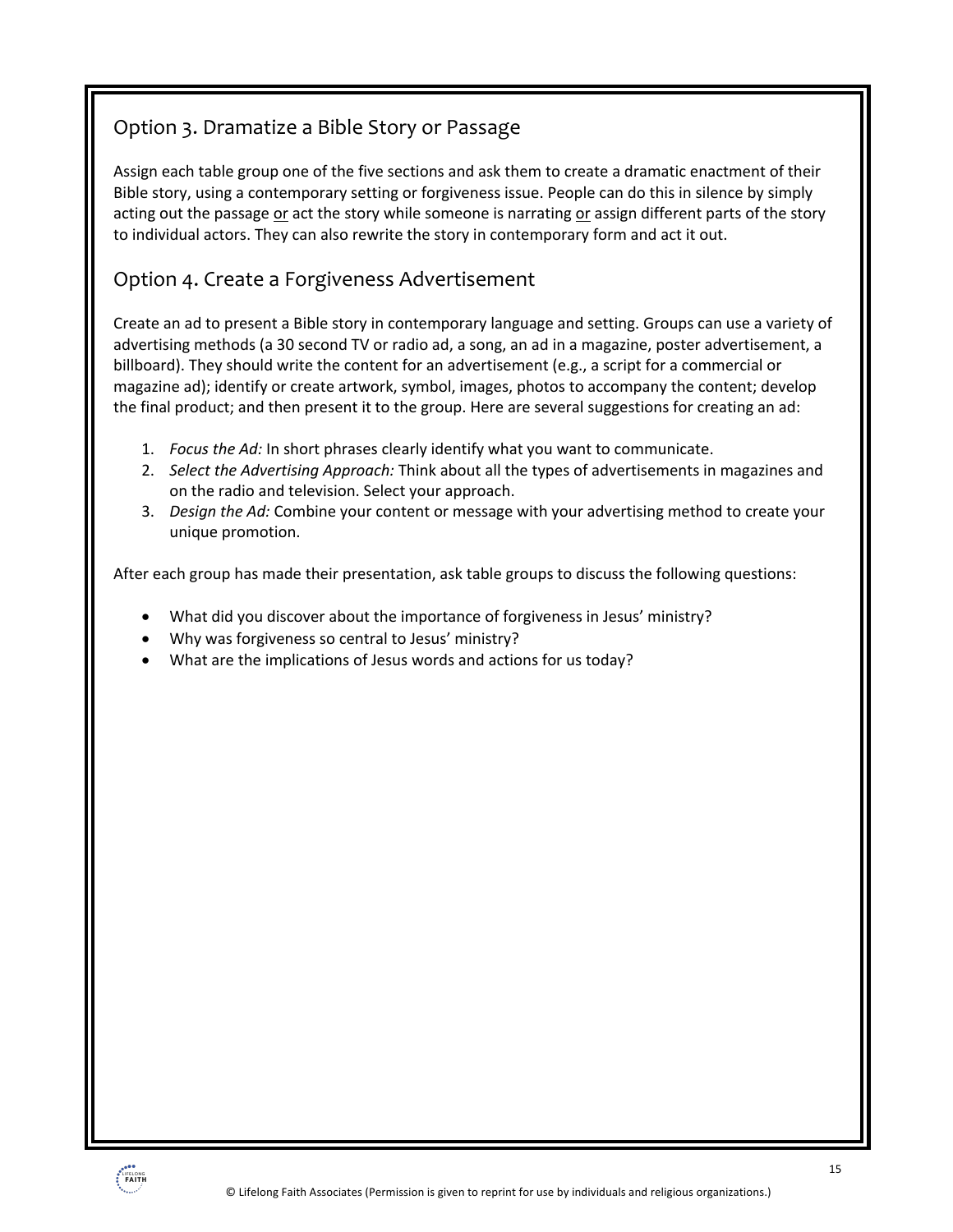### Option 3. Dramatize a Bible Story or Passage

Assign each table group one of the five sections and ask them to create a dramatic enactment of their Bible story, using a contemporary setting or forgiveness issue. People can do this in silence by simply acting out the passage or act the story while someone is narrating or assign different parts of the story to individual actors. They can also rewrite the story in contemporary form and act it out.

### Option 4. Create a Forgiveness Advertisement

Create an ad to present a Bible story in contemporary language and setting. Groups can use a variety of advertising methods (a 30 second TV or radio ad, a song, an ad in a magazine, poster advertisement, a billboard). They should write the content for an advertisement (e.g., a script for a commercial or magazine ad); identify or create artwork, symbol, images, photos to accompany the content; develop the final product; and then present it to the group. Here are several suggestions for creating an ad:

- 1. *Focus the Ad:* In short phrases clearly identify what you want to communicate.
- 2. *Select the Advertising Approach:* Think about all the types of advertisements in magazines and on the radio and television. Select your approach.
- 3. *Design the Ad:* Combine your content or message with your advertising method to create your unique promotion.

After each group has made their presentation, ask table groups to discuss the following questions:

- What did you discover about the importance of forgiveness in Jesus' ministry?
- Why was forgiveness so central to Jesus' ministry?
- What are the implications of Jesus words and actions for us today?

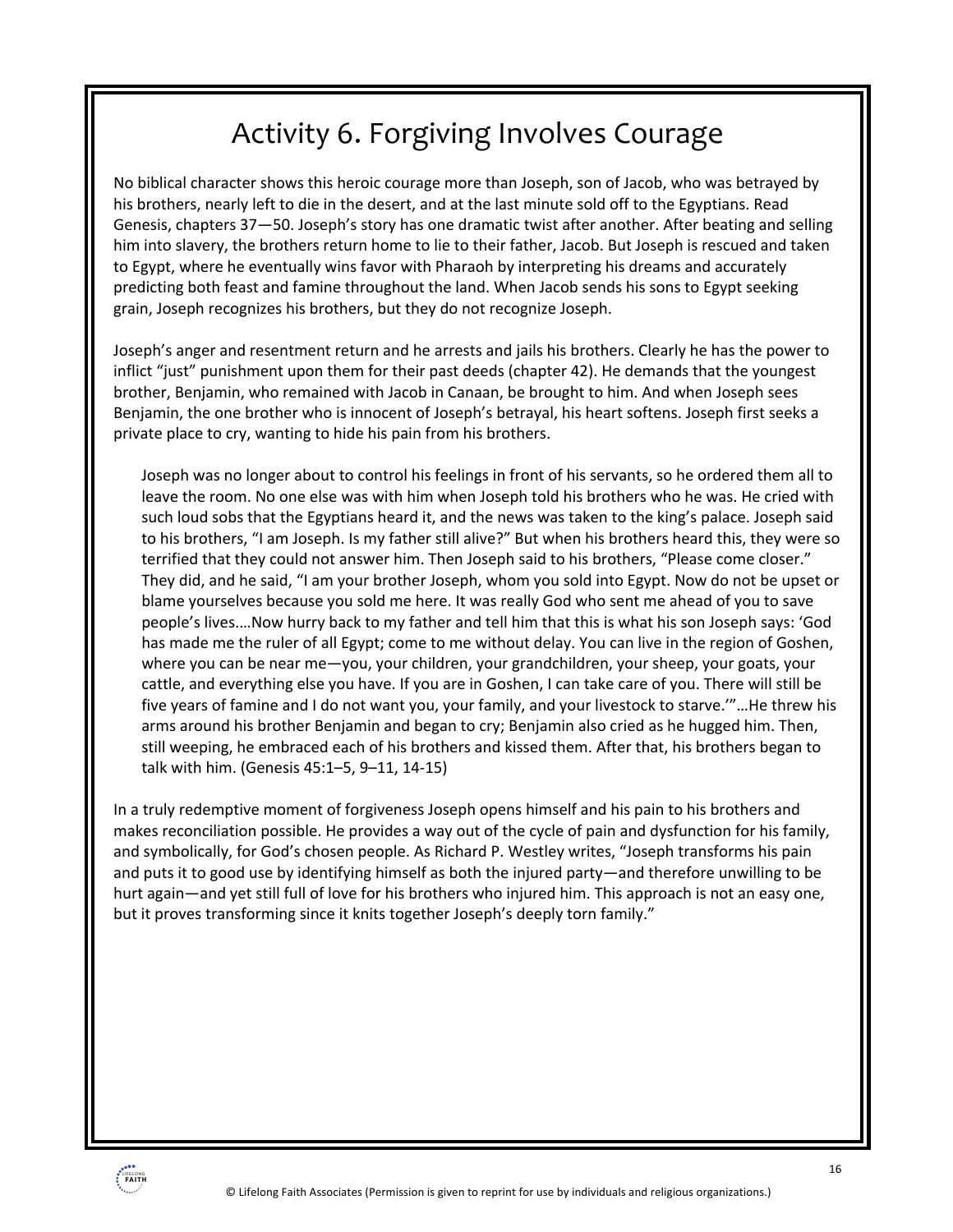## Activity 6. Forgiving Involves Courage

No biblical character shows this heroic courage more than Joseph, son of Jacob, who was betrayed by his brothers, nearly left to die in the desert, and at the last minute sold off to the Egyptians. Read Genesis, chapters 37—50. Joseph's story has one dramatic twist after another. After beating and selling him into slavery, the brothers return home to lie to their father, Jacob. But Joseph is rescued and taken to Egypt, where he eventually wins favor with Pharaoh by interpreting his dreams and accurately predicting both feast and famine throughout the land. When Jacob sends his sons to Egypt seeking grain, Joseph recognizes his brothers, but they do not recognize Joseph.

Joseph's anger and resentment return and he arrests and jails his brothers. Clearly he has the power to inflict "just" punishment upon them for their past deeds (chapter 42). He demands that the youngest brother, Benjamin, who remained with Jacob in Canaan, be brought to him. And when Joseph sees Benjamin, the one brother who is innocent of Joseph's betrayal, his heart softens. Joseph first seeks a private place to cry, wanting to hide his pain from his brothers.

Joseph was no longer about to control his feelings in front of his servants, so he ordered them all to leave the room. No one else was with him when Joseph told his brothers who he was. He cried with such loud sobs that the Egyptians heard it, and the news was taken to the king's palace. Joseph said to his brothers, "I am Joseph. Is my father still alive?" But when his brothers heard this, they were so terrified that they could not answer him. Then Joseph said to his brothers, "Please come closer." They did, and he said, "I am your brother Joseph, whom you sold into Egypt. Now do not be upset or blame yourselves because you sold me here. It was really God who sent me ahead of you to save people's lives.…Now hurry back to my father and tell him that this is what his son Joseph says: 'God has made me the ruler of all Egypt; come to me without delay. You can live in the region of Goshen, where you can be near me—you, your children, your grandchildren, your sheep, your goats, your cattle, and everything else you have. If you are in Goshen, I can take care of you. There will still be five years of famine and I do not want you, your family, and your livestock to starve.'"…He threw his arms around his brother Benjamin and began to cry; Benjamin also cried as he hugged him. Then, still weeping, he embraced each of his brothers and kissed them. After that, his brothers began to talk with him. (Genesis 45:1–5, 9–11, 14-15)

In a truly redemptive moment of forgiveness Joseph opens himself and his pain to his brothers and makes reconciliation possible. He provides a way out of the cycle of pain and dysfunction for his family, and symbolically, for God's chosen people. As Richard P. Westley writes, "Joseph transforms his pain and puts it to good use by identifying himself as both the injured party—and therefore unwilling to be hurt again—and yet still full of love for his brothers who injured him. This approach is not an easy one, but it proves transforming since it knits together Joseph's deeply torn family."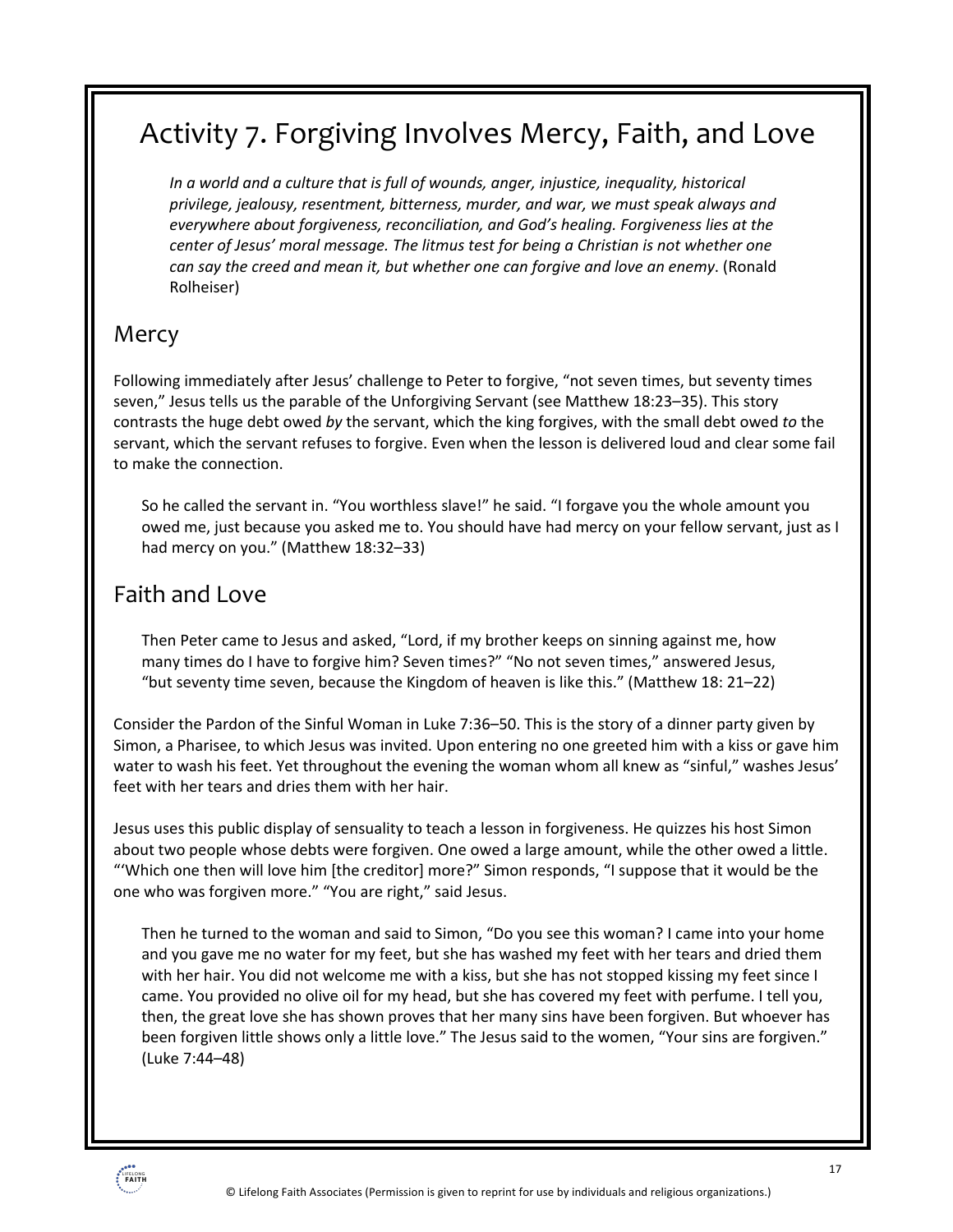## Activity 7. Forgiving Involves Mercy, Faith, and Love

*In a world and a culture that is full of wounds, anger, injustice, inequality, historical privilege, jealousy, resentment, bitterness, murder, and war, we must speak always and everywhere about forgiveness, reconciliation, and God's healing. Forgiveness lies at the center of Jesus' moral message. The litmus test for being a Christian is not whether one can say the creed and mean it, but whether one can forgive and love an enemy*. (Ronald Rolheiser)

### Mercy

Following immediately after Jesus' challenge to Peter to forgive, "not seven times, but seventy times seven," Jesus tells us the parable of the Unforgiving Servant (see Matthew 18:23–35). This story contrasts the huge debt owed *by* the servant, which the king forgives, with the small debt owed *to* the servant, which the servant refuses to forgive. Even when the lesson is delivered loud and clear some fail to make the connection.

So he called the servant in. "You worthless slave!" he said. "I forgave you the whole amount you owed me, just because you asked me to. You should have had mercy on your fellow servant, just as I had mercy on you." (Matthew 18:32–33)

### Faith and Love

Then Peter came to Jesus and asked, "Lord, if my brother keeps on sinning against me, how many times do I have to forgive him? Seven times?" "No not seven times," answered Jesus, "but seventy time seven, because the Kingdom of heaven is like this." (Matthew 18: 21–22)

Consider the Pardon of the Sinful Woman in Luke 7:36–50. This is the story of a dinner party given by Simon, a Pharisee, to which Jesus was invited. Upon entering no one greeted him with a kiss or gave him water to wash his feet. Yet throughout the evening the woman whom all knew as "sinful," washes Jesus' feet with her tears and dries them with her hair.

Jesus uses this public display of sensuality to teach a lesson in forgiveness. He quizzes his host Simon about two people whose debts were forgiven. One owed a large amount, while the other owed a little. "'Which one then will love him [the creditor] more?" Simon responds, "I suppose that it would be the one who was forgiven more." "You are right," said Jesus.

Then he turned to the woman and said to Simon, "Do you see this woman? I came into your home and you gave me no water for my feet, but she has washed my feet with her tears and dried them with her hair. You did not welcome me with a kiss, but she has not stopped kissing my feet since I came. You provided no olive oil for my head, but she has covered my feet with perfume. I tell you, then, the great love she has shown proves that her many sins have been forgiven. But whoever has been forgiven little shows only a little love." The Jesus said to the women, "Your sins are forgiven." (Luke 7:44–48)

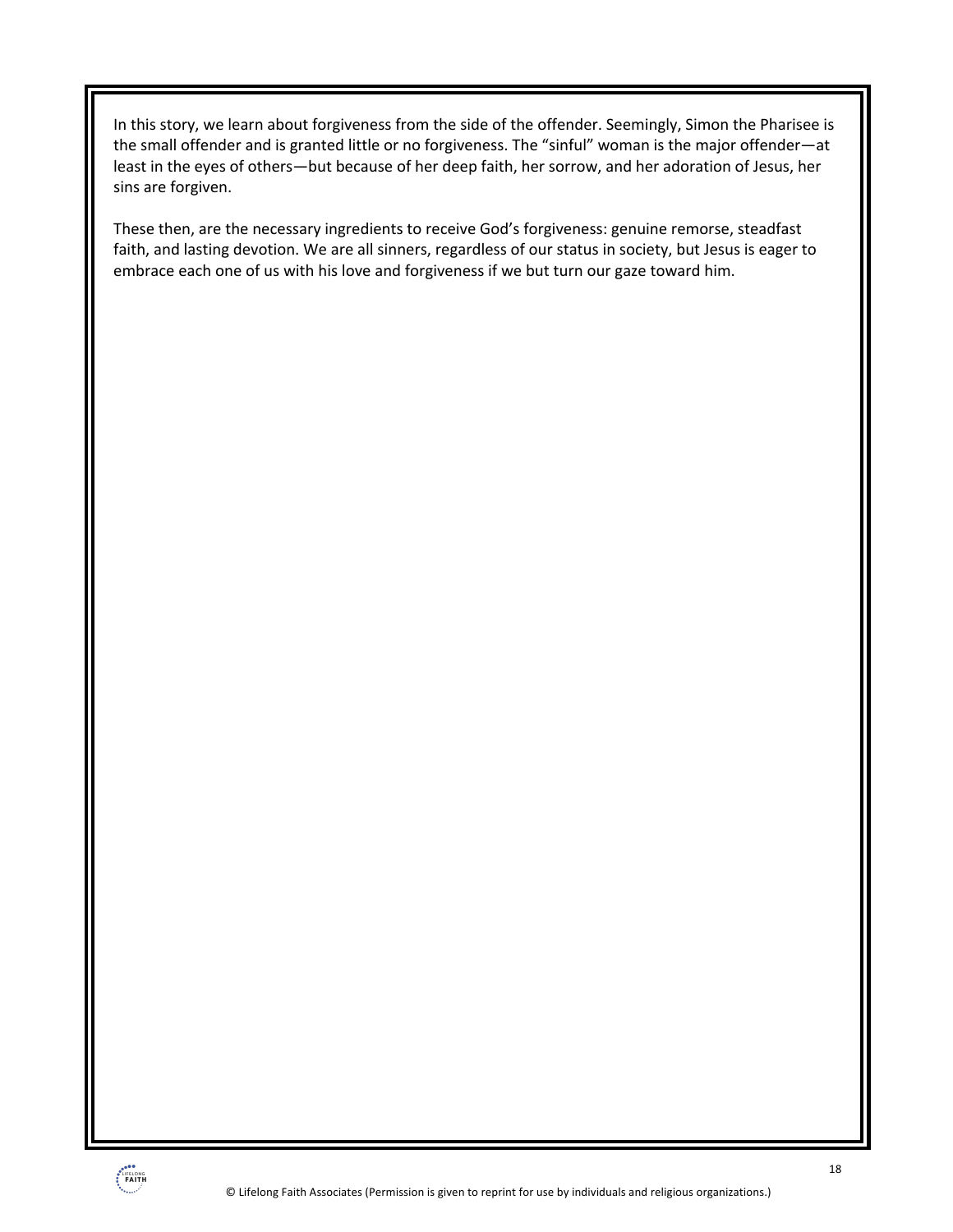In this story, we learn about forgiveness from the side of the offender. Seemingly, Simon the Pharisee is the small offender and is granted little or no forgiveness. The "sinful" woman is the major offender—at least in the eyes of others—but because of her deep faith, her sorrow, and her adoration of Jesus, her sins are forgiven.

These then, are the necessary ingredients to receive God's forgiveness: genuine remorse, steadfast faith, and lasting devotion. We are all sinners, regardless of our status in society, but Jesus is eager to embrace each one of us with his love and forgiveness if we but turn our gaze toward him.

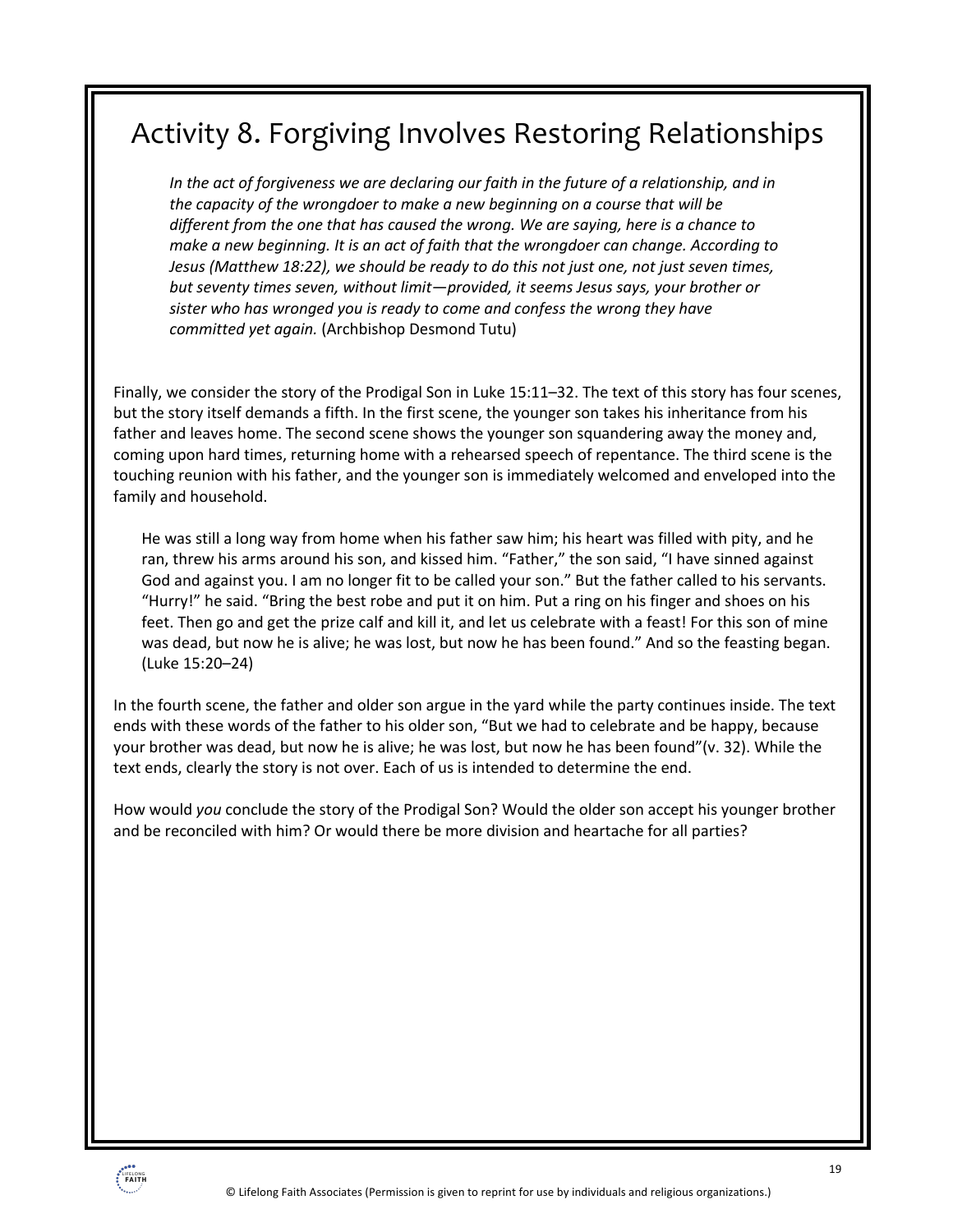## Activity 8. Forgiving Involves Restoring Relationships

*In the act of forgiveness we are declaring our faith in the future of a relationship, and in the capacity of the wrongdoer to make a new beginning on a course that will be different from the one that has caused the wrong. We are saying, here is a chance to make a new beginning. It is an act of faith that the wrongdoer can change. According to Jesus (Matthew 18:22), we should be ready to do this not just one, not just seven times, but seventy times seven, without limit—provided, it seems Jesus says, your brother or sister who has wronged you is ready to come and confess the wrong they have committed yet again.* (Archbishop Desmond Tutu)

Finally, we consider the story of the Prodigal Son in Luke 15:11–32. The text of this story has four scenes, but the story itself demands a fifth. In the first scene, the younger son takes his inheritance from his father and leaves home. The second scene shows the younger son squandering away the money and, coming upon hard times, returning home with a rehearsed speech of repentance. The third scene is the touching reunion with his father, and the younger son is immediately welcomed and enveloped into the family and household.

He was still a long way from home when his father saw him; his heart was filled with pity, and he ran, threw his arms around his son, and kissed him. "Father," the son said, "I have sinned against God and against you. I am no longer fit to be called your son." But the father called to his servants. "Hurry!" he said. "Bring the best robe and put it on him. Put a ring on his finger and shoes on his feet. Then go and get the prize calf and kill it, and let us celebrate with a feast! For this son of mine was dead, but now he is alive; he was lost, but now he has been found." And so the feasting began. (Luke 15:20–24)

In the fourth scene, the father and older son argue in the yard while the party continues inside. The text ends with these words of the father to his older son, "But we had to celebrate and be happy, because your brother was dead, but now he is alive; he was lost, but now he has been found"(v. 32). While the text ends, clearly the story is not over. Each of us is intended to determine the end.

How would *you* conclude the story of the Prodigal Son? Would the older son accept his younger brother and be reconciled with him? Or would there be more division and heartache for all parties?

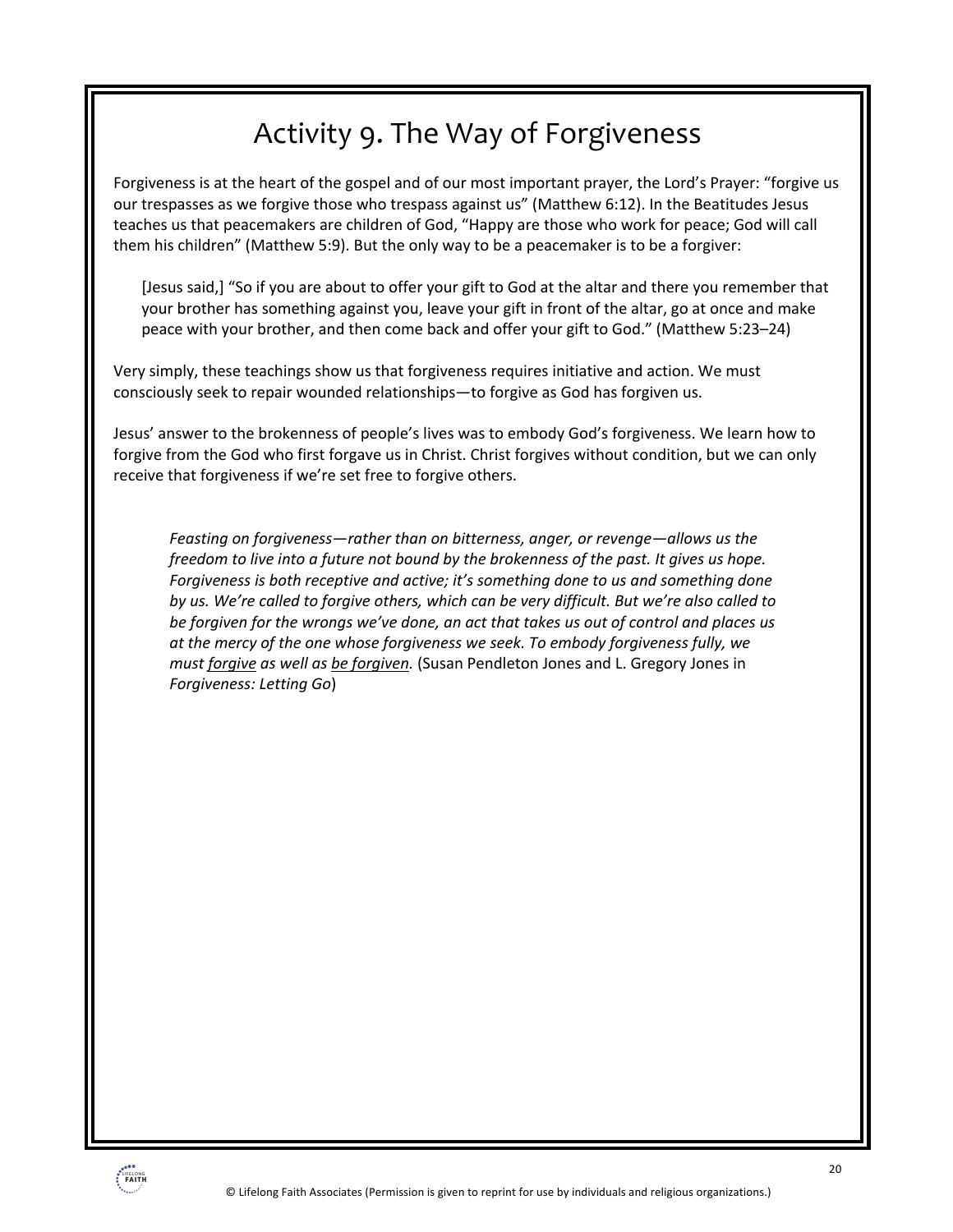## Activity 9. The Way of Forgiveness

Forgiveness is at the heart of the gospel and of our most important prayer, the Lord's Prayer: "forgive us our trespasses as we forgive those who trespass against us" (Matthew 6:12). In the Beatitudes Jesus teaches us that peacemakers are children of God, "Happy are those who work for peace; God will call them his children" (Matthew 5:9). But the only way to be a peacemaker is to be a forgiver:

[Jesus said,] "So if you are about to offer your gift to God at the altar and there you remember that your brother has something against you, leave your gift in front of the altar, go at once and make peace with your brother, and then come back and offer your gift to God." (Matthew 5:23–24)

Very simply, these teachings show us that forgiveness requires initiative and action. We must consciously seek to repair wounded relationships—to forgive as God has forgiven us.

Jesus' answer to the brokenness of people's lives was to embody God's forgiveness. We learn how to forgive from the God who first forgave us in Christ. Christ forgives without condition, but we can only receive that forgiveness if we're set free to forgive others.

*Feasting on forgiveness—rather than on bitterness, anger, or revenge—allows us the freedom to live into a future not bound by the brokenness of the past. It gives us hope. Forgiveness is both receptive and active; it's something done to us and something done by us. We're called to forgive others, which can be very difficult. But we're also called to be forgiven for the wrongs we've done, an act that takes us out of control and places us at the mercy of the one whose forgiveness we seek. To embody forgiveness fully, we must forgive as well as be forgiven.* (Susan Pendleton Jones and L. Gregory Jones in *Forgiveness: Letting Go*)

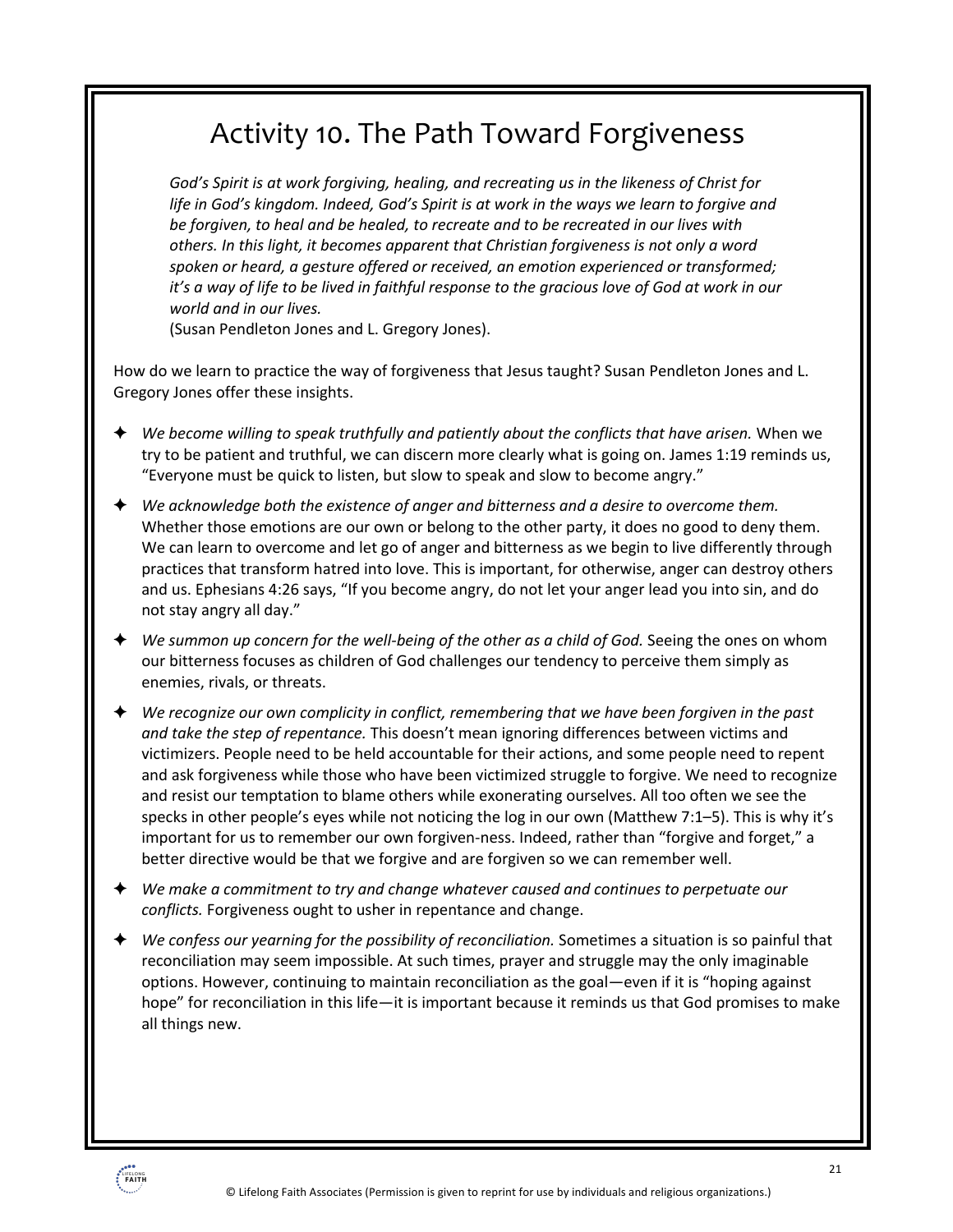### Activity 10. The Path Toward Forgiveness

*God's Spirit is at work forgiving, healing, and recreating us in the likeness of Christ for*  life in God's kingdom. Indeed, God's Spirit is at work in the ways we learn to forgive and *be forgiven, to heal and be healed, to recreate and to be recreated in our lives with others. In this light, it becomes apparent that Christian forgiveness is not only a word spoken or heard, a gesture offered or received, an emotion experienced or transformed; it's a way of life to be lived in faithful response to the gracious love of God at work in our world and in our lives.*

(Susan Pendleton Jones and L. Gregory Jones).

How do we learn to practice the way of forgiveness that Jesus taught? Susan Pendleton Jones and L. Gregory Jones offer these insights.

- ! *We become willing to speak truthfully and patiently about the conflicts that have arisen.* When we try to be patient and truthful, we can discern more clearly what is going on. James 1:19 reminds us, "Everyone must be quick to listen, but slow to speak and slow to become angry."
- ! *We acknowledge both the existence of anger and bitterness and a desire to overcome them.* Whether those emotions are our own or belong to the other party, it does no good to deny them. We can learn to overcome and let go of anger and bitterness as we begin to live differently through practices that transform hatred into love. This is important, for otherwise, anger can destroy others and us. Ephesians 4:26 says, "If you become angry, do not let your anger lead you into sin, and do not stay angry all day."
- ! *We summon up concern for the well-being of the other as a child of God.* Seeing the ones on whom our bitterness focuses as children of God challenges our tendency to perceive them simply as enemies, rivals, or threats.
- ! *We recognize our own complicity in conflict, remembering that we have been forgiven in the past and take the step of repentance.* This doesn't mean ignoring differences between victims and victimizers. People need to be held accountable for their actions, and some people need to repent and ask forgiveness while those who have been victimized struggle to forgive. We need to recognize and resist our temptation to blame others while exonerating ourselves. All too often we see the specks in other people's eyes while not noticing the log in our own (Matthew 7:1–5). This is why it's important for us to remember our own forgiven-ness. Indeed, rather than "forgive and forget," a better directive would be that we forgive and are forgiven so we can remember well.
- ! *We make a commitment to try and change whatever caused and continues to perpetuate our conflicts.* Forgiveness ought to usher in repentance and change.
- We confess our yearning for the possibility of reconciliation. Sometimes a situation is so painful that reconciliation may seem impossible. At such times, prayer and struggle may the only imaginable options. However, continuing to maintain reconciliation as the goal—even if it is "hoping against hope" for reconciliation in this life—it is important because it reminds us that God promises to make all things new.

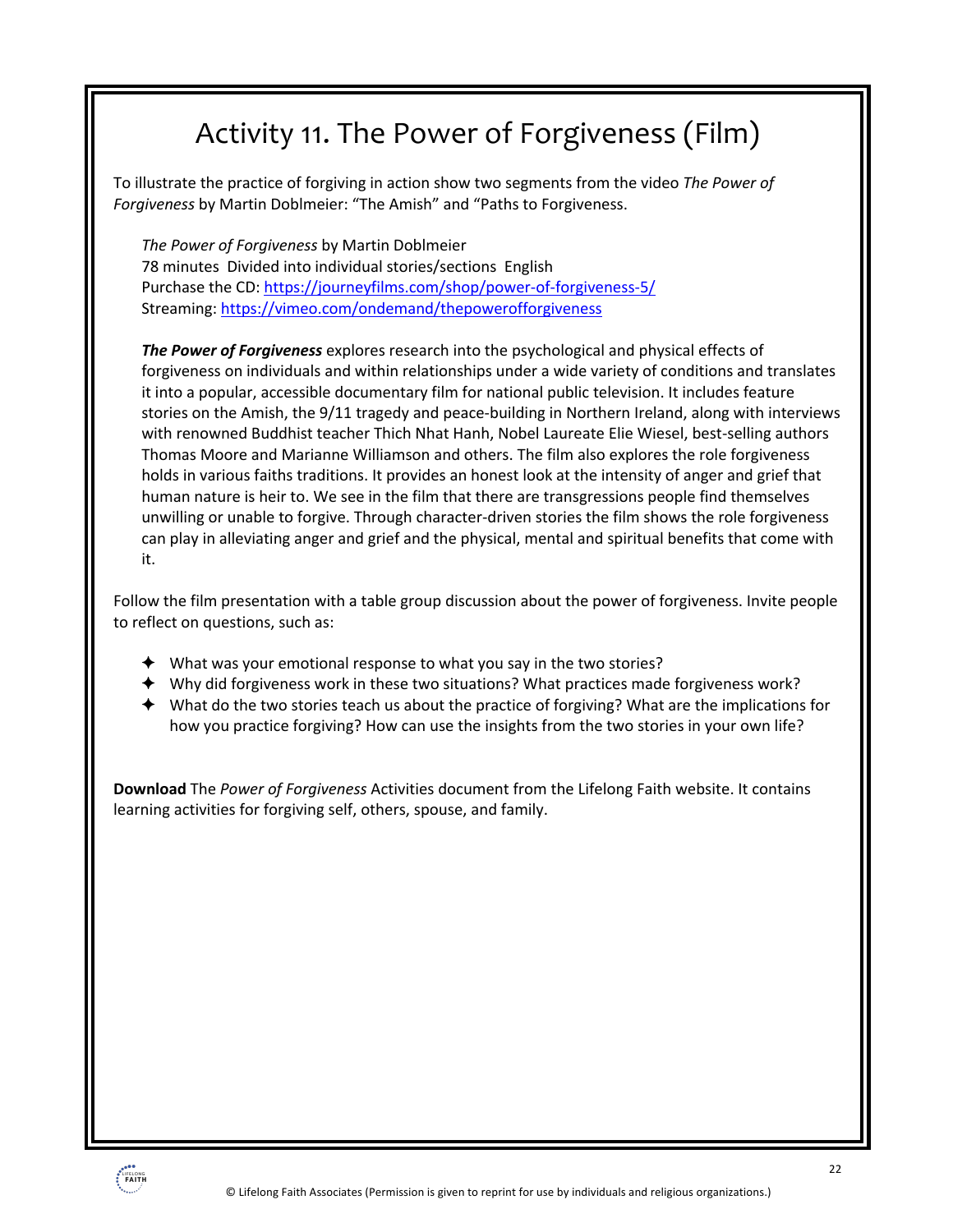## Activity 11. The Power of Forgiveness (Film)

To illustrate the practice of forgiving in action show two segments from the video *The Power of Forgiveness* by Martin Doblmeier: "The Amish" and "Paths to Forgiveness.

*The Power of Forgiveness* by Martin Doblmeier 78 minutes Divided into individual stories/sections English Purchase the CD: https://journeyfilms.com/shop/power-of-forgiveness-5/ Streaming: https://vimeo.com/ondemand/thepowerofforgiveness

*The Power of Forgiveness* explores research into the psychological and physical effects of forgiveness on individuals and within relationships under a wide variety of conditions and translates it into a popular, accessible documentary film for national public television. It includes feature stories on the Amish, the 9/11 tragedy and peace-building in Northern Ireland, along with interviews with renowned Buddhist teacher Thich Nhat Hanh, Nobel Laureate Elie Wiesel, best-selling authors Thomas Moore and Marianne Williamson and others. The film also explores the role forgiveness holds in various faiths traditions. It provides an honest look at the intensity of anger and grief that human nature is heir to. We see in the film that there are transgressions people find themselves unwilling or unable to forgive. Through character-driven stories the film shows the role forgiveness can play in alleviating anger and grief and the physical, mental and spiritual benefits that come with it.

Follow the film presentation with a table group discussion about the power of forgiveness. Invite people to reflect on questions, such as:

- $\blacklozenge$  What was your emotional response to what you say in the two stories?
- $\blacklozenge$  Why did forgiveness work in these two situations? What practices made forgiveness work?
- $\blacklozenge$  What do the two stories teach us about the practice of forgiving? What are the implications for how you practice forgiving? How can use the insights from the two stories in your own life?

**Download** The *Power of Forgiveness* Activities document from the Lifelong Faith website. It contains learning activities for forgiving self, others, spouse, and family.

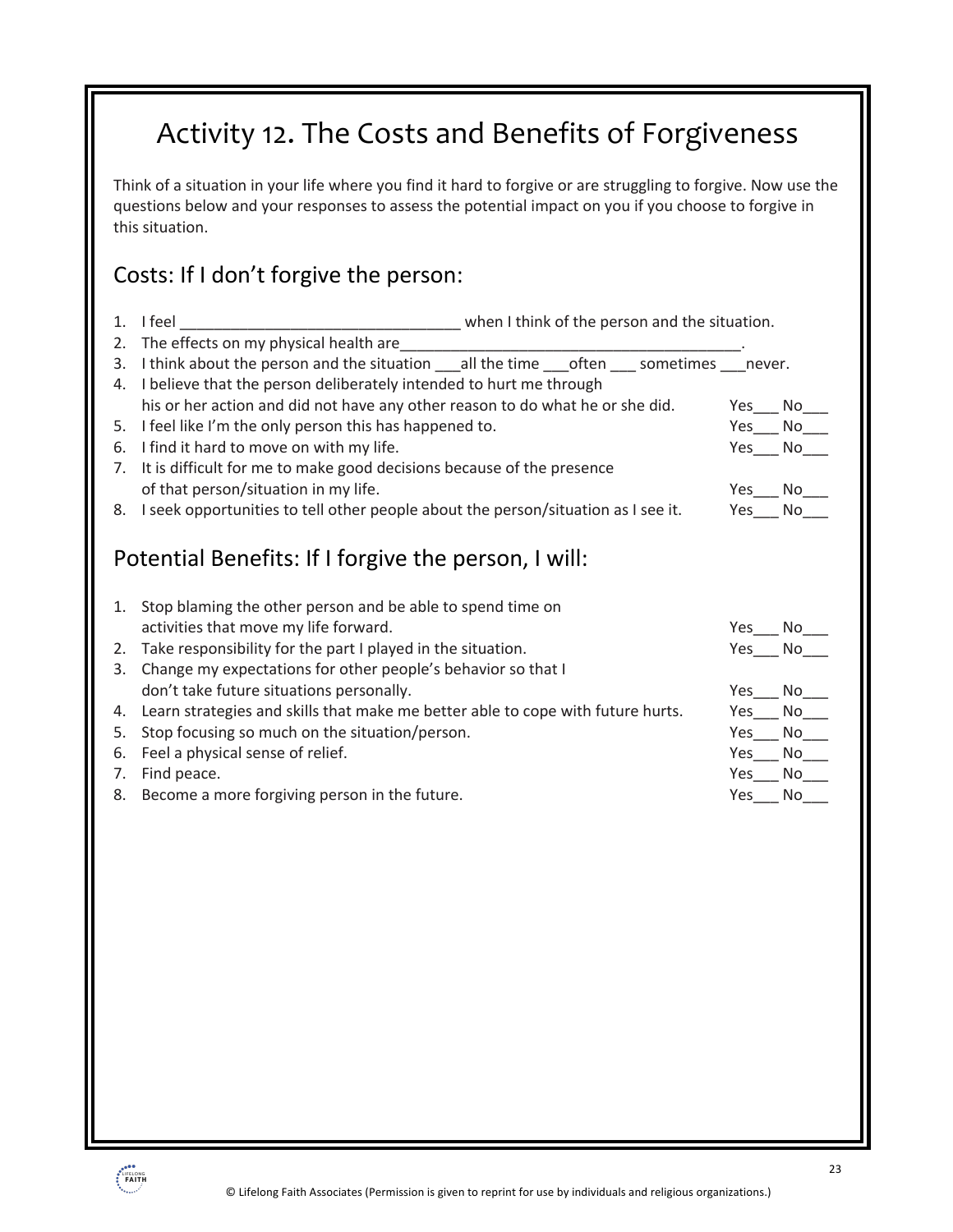## Activity 12. The Costs and Benefits of Forgiveness

Think of a situation in your life where you find it hard to forgive or are struggling to forgive. Now use the questions below and your responses to assess the potential impact on you if you choose to forgive in this situation.

### Costs: If I don't forgive the person:

| 1. | I feel<br>when I think of the person and the situation.                                        |  |  |  |     |                                                      |  |
|----|------------------------------------------------------------------------------------------------|--|--|--|-----|------------------------------------------------------|--|
| 2. | The effects on my physical health are                                                          |  |  |  |     |                                                      |  |
| 3. | I think about the person and the situation ___ all the time ___ often ___ sometimes ___ never. |  |  |  |     |                                                      |  |
| 4. | I believe that the person deliberately intended to hurt me through                             |  |  |  |     |                                                      |  |
|    | his or her action and did not have any other reason to do what he or she did.                  |  |  |  | Yes | No                                                   |  |
| 5. | I feel like I'm the only person this has happened to.                                          |  |  |  | Yes | No                                                   |  |
| 6. | I find it hard to move on with my life.                                                        |  |  |  | Yes | No                                                   |  |
| 7. | It is difficult for me to make good decisions because of the presence                          |  |  |  |     |                                                      |  |
|    | of that person/situation in my life.                                                           |  |  |  | Yes | No                                                   |  |
| 8. | I seek opportunities to tell other people about the person/situation as I see it.              |  |  |  | Yes | No                                                   |  |
|    | Potential Benefits: If I forgive the person, I will:                                           |  |  |  |     |                                                      |  |
|    | 1. Stop blaming the other person and be able to spend time on                                  |  |  |  |     |                                                      |  |
|    | activities that move my life forward.                                                          |  |  |  | Yes | No                                                   |  |
| 2. | Take responsibility for the part I played in the situation.                                    |  |  |  | Yes | No                                                   |  |
| 3. | Change my expectations for other people's behavior so that I                                   |  |  |  |     |                                                      |  |
|    | don't take future situations personally.                                                       |  |  |  |     | $\overline{\phantom{a}}$ No $\overline{\phantom{a}}$ |  |
| 4. | Learn strategies and skills that make me better able to cope with future hurts.                |  |  |  | Yes | No                                                   |  |
| 5. | Stop focusing so much on the situation/person.                                                 |  |  |  | Yes | No                                                   |  |
| 6. | Feel a physical sense of relief.                                                               |  |  |  | Yes | No l                                                 |  |
| 7. | Find peace.                                                                                    |  |  |  | Yes | No                                                   |  |
| 8. | Become a more forgiving person in the future.                                                  |  |  |  | Yes | No                                                   |  |
|    |                                                                                                |  |  |  |     |                                                      |  |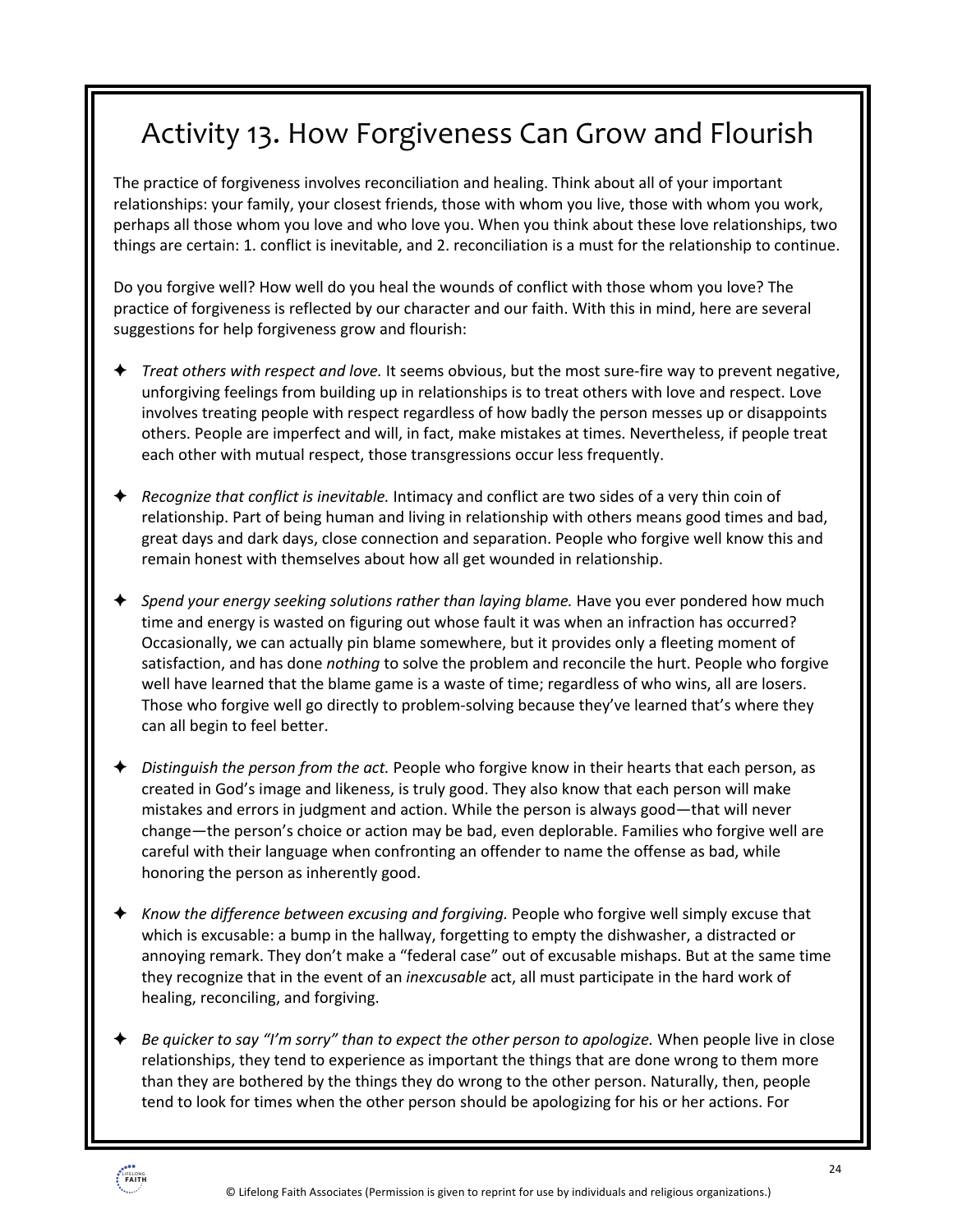## Activity 13. How Forgiveness Can Grow and Flourish

The practice of forgiveness involves reconciliation and healing. Think about all of your important relationships: your family, your closest friends, those with whom you live, those with whom you work, perhaps all those whom you love and who love you. When you think about these love relationships, two things are certain: 1. conflict is inevitable, and 2. reconciliation is a must for the relationship to continue.

Do you forgive well? How well do you heal the wounds of conflict with those whom you love? The practice of forgiveness is reflected by our character and our faith. With this in mind, here are several suggestions for help forgiveness grow and flourish:

- ! *Treat others with respect and love.* It seems obvious, but the most sure-fire way to prevent negative, unforgiving feelings from building up in relationships is to treat others with love and respect. Love involves treating people with respect regardless of how badly the person messes up or disappoints others. People are imperfect and will, in fact, make mistakes at times. Nevertheless, if people treat each other with mutual respect, those transgressions occur less frequently.
- ! *Recognize that conflict is inevitable.* Intimacy and conflict are two sides of a very thin coin of relationship. Part of being human and living in relationship with others means good times and bad, great days and dark days, close connection and separation. People who forgive well know this and remain honest with themselves about how all get wounded in relationship.
- ! *Spend your energy seeking solutions rather than laying blame.* Have you ever pondered how much time and energy is wasted on figuring out whose fault it was when an infraction has occurred? Occasionally, we can actually pin blame somewhere, but it provides only a fleeting moment of satisfaction, and has done *nothing* to solve the problem and reconcile the hurt. People who forgive well have learned that the blame game is a waste of time; regardless of who wins, all are losers. Those who forgive well go directly to problem-solving because they've learned that's where they can all begin to feel better.
- ! *Distinguish the person from the act.* People who forgive know in their hearts that each person, as created in God's image and likeness, is truly good. They also know that each person will make mistakes and errors in judgment and action. While the person is always good—that will never change—the person's choice or action may be bad, even deplorable. Families who forgive well are careful with their language when confronting an offender to name the offense as bad, while honoring the person as inherently good.
- ! *Know the difference between excusing and forgiving.* People who forgive well simply excuse that which is excusable: a bump in the hallway, forgetting to empty the dishwasher, a distracted or annoying remark. They don't make a "federal case" out of excusable mishaps. But at the same time they recognize that in the event of an *inexcusable* act, all must participate in the hard work of healing, reconciling, and forgiving.
- ! *Be quicker to say "I'm sorry" than to expect the other person to apologize.* When people live in close relationships, they tend to experience as important the things that are done wrong to them more than they are bothered by the things they do wrong to the other person. Naturally, then, people tend to look for times when the other person should be apologizing for his or her actions. For

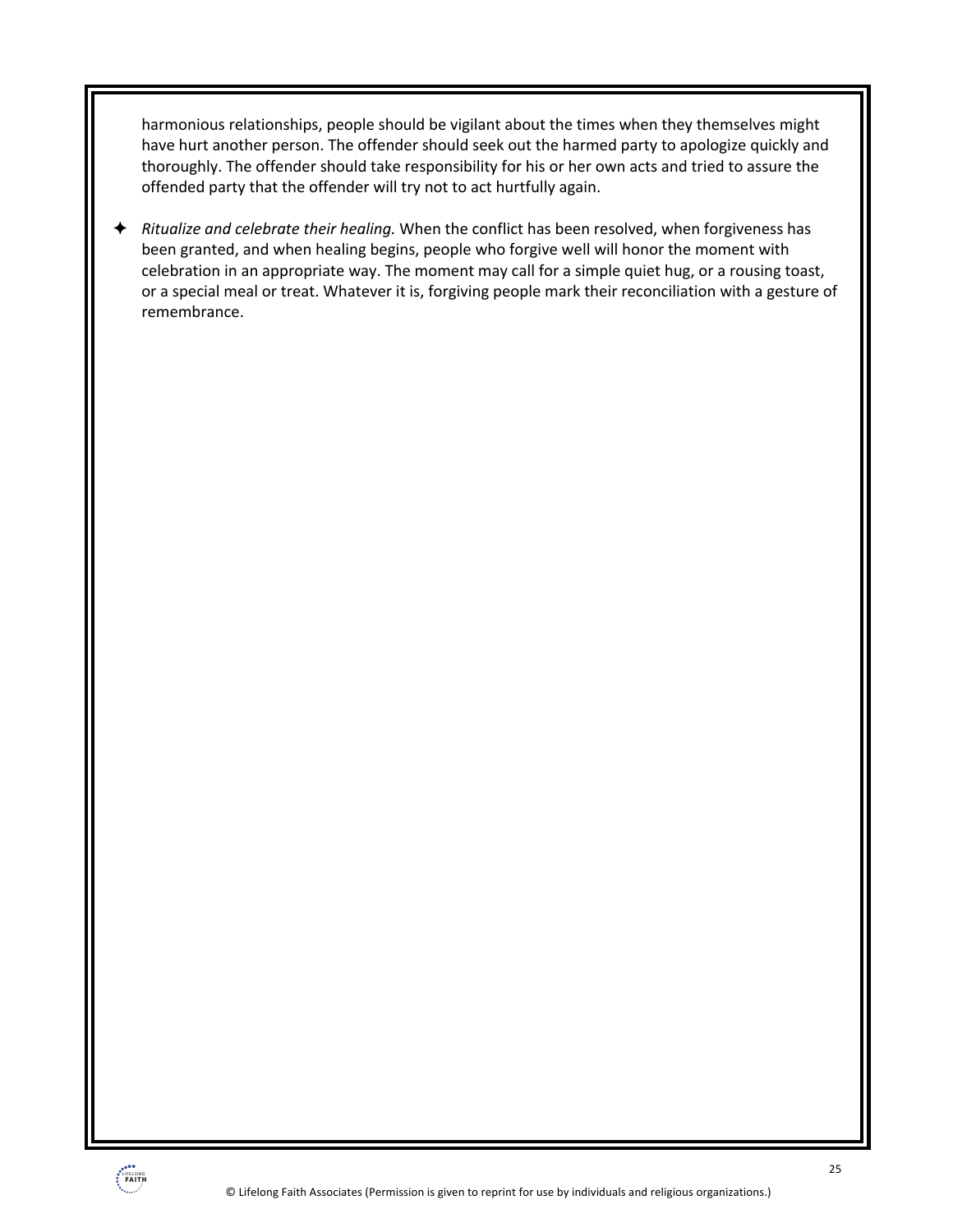harmonious relationships, people should be vigilant about the times when they themselves might have hurt another person. The offender should seek out the harmed party to apologize quickly and thoroughly. The offender should take responsibility for his or her own acts and tried to assure the offended party that the offender will try not to act hurtfully again.

! *Ritualize and celebrate their healing.* When the conflict has been resolved, when forgiveness has been granted, and when healing begins, people who forgive well will honor the moment with celebration in an appropriate way. The moment may call for a simple quiet hug, or a rousing toast, or a special meal or treat. Whatever it is, forgiving people mark their reconciliation with a gesture of remembrance.

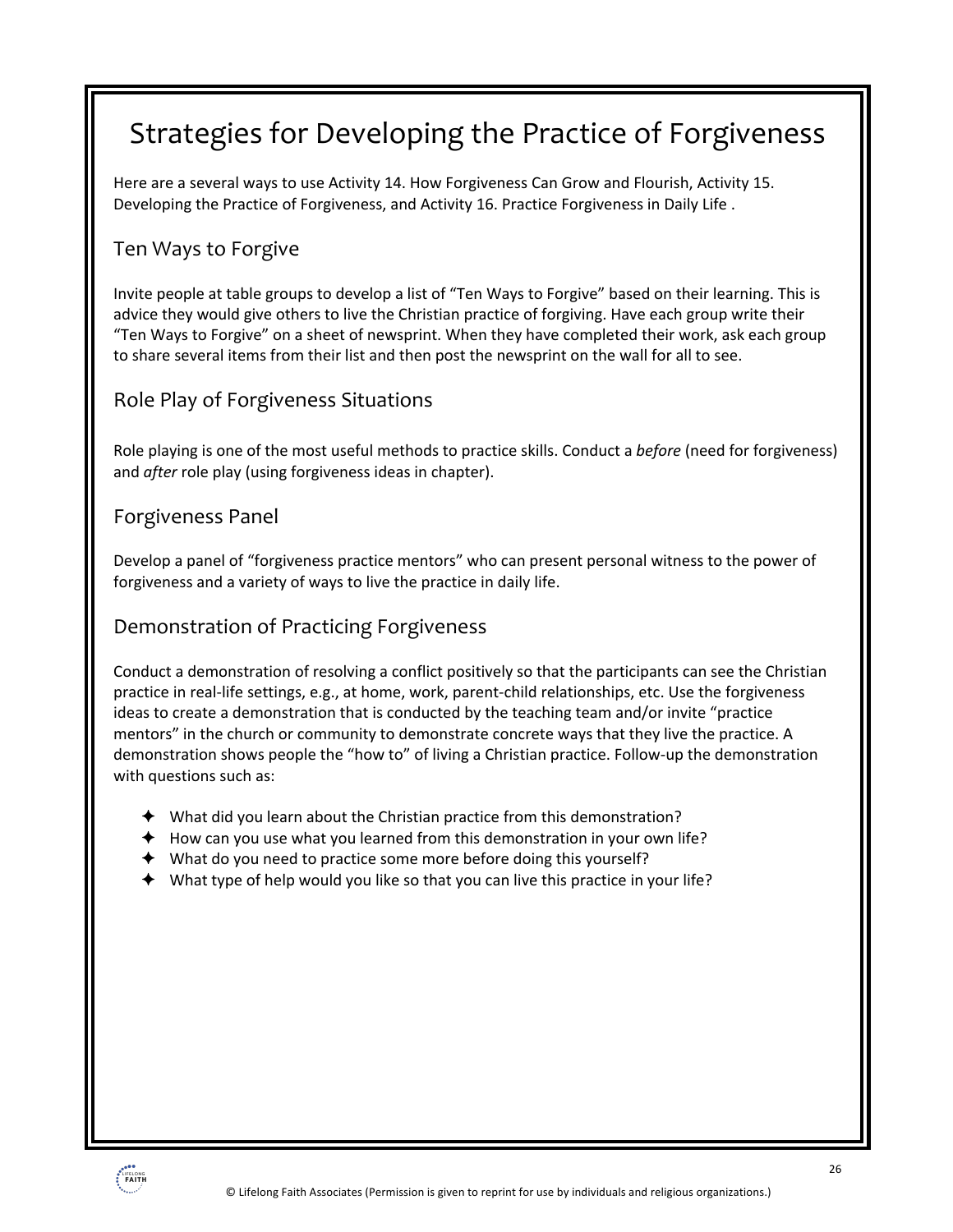## Strategies for Developing the Practice of Forgiveness

Here are a several ways to use Activity 14. How Forgiveness Can Grow and Flourish, Activity 15. Developing the Practice of Forgiveness, and Activity 16. Practice Forgiveness in Daily Life .

### Ten Ways to Forgive

Invite people at table groups to develop a list of "Ten Ways to Forgive" based on their learning. This is advice they would give others to live the Christian practice of forgiving. Have each group write their "Ten Ways to Forgive" on a sheet of newsprint. When they have completed their work, ask each group to share several items from their list and then post the newsprint on the wall for all to see.

### Role Play of Forgiveness Situations

Role playing is one of the most useful methods to practice skills. Conduct a *before* (need for forgiveness) and *after* role play (using forgiveness ideas in chapter).

#### Forgiveness Panel

Develop a panel of "forgiveness practice mentors" who can present personal witness to the power of forgiveness and a variety of ways to live the practice in daily life.

#### Demonstration of Practicing Forgiveness

Conduct a demonstration of resolving a conflict positively so that the participants can see the Christian practice in real-life settings, e.g., at home, work, parent-child relationships, etc. Use the forgiveness ideas to create a demonstration that is conducted by the teaching team and/or invite "practice mentors" in the church or community to demonstrate concrete ways that they live the practice. A demonstration shows people the "how to" of living a Christian practice. Follow-up the demonstration with questions such as:

- $\triangleq$  What did you learn about the Christian practice from this demonstration?
- $\blacklozenge$  How can you use what you learned from this demonstration in your own life?
- $\blacklozenge$  What do you need to practice some more before doing this yourself?
- $\blacklozenge$  What type of help would you like so that you can live this practice in your life?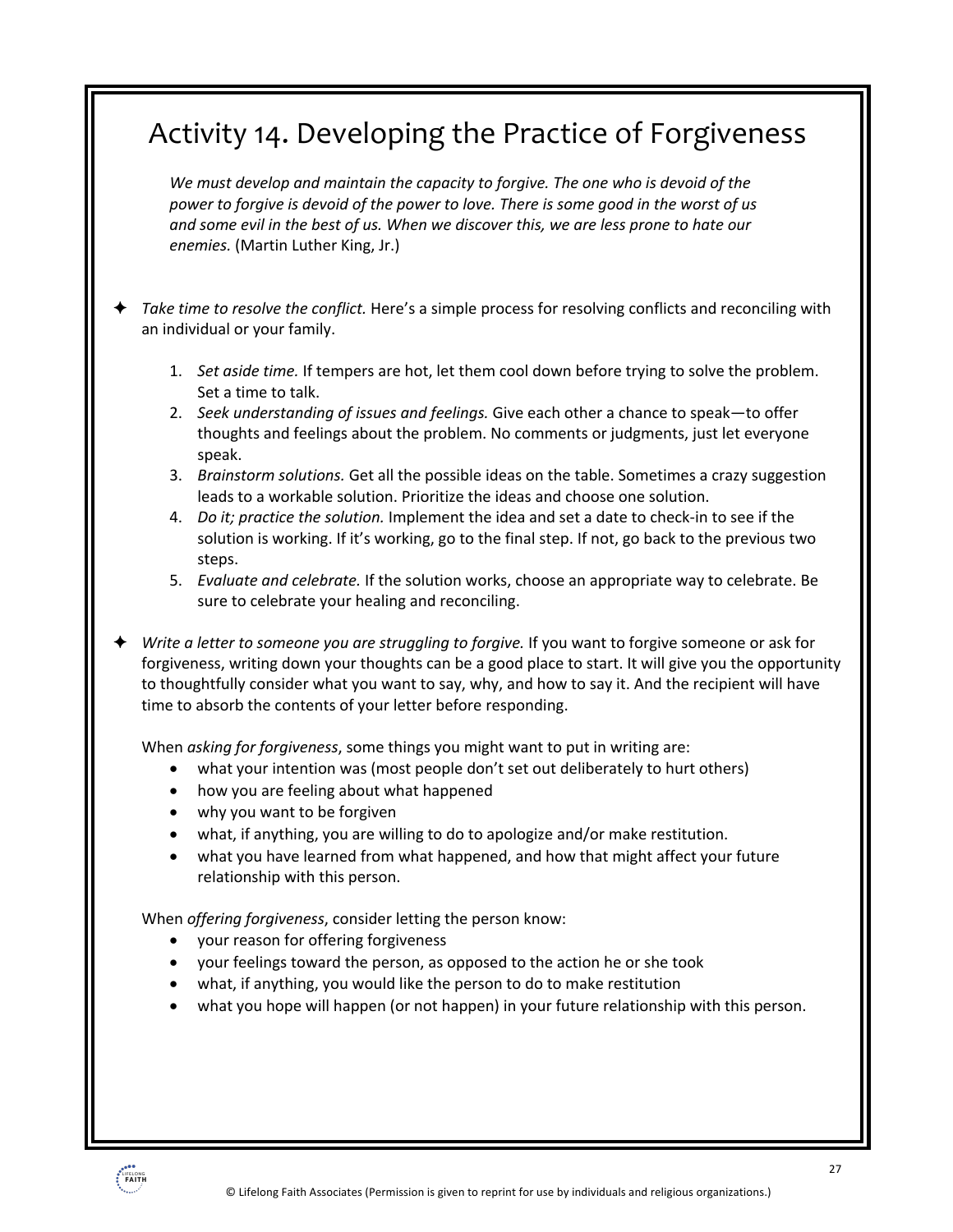### Activity 14. Developing the Practice of Forgiveness

*We must develop and maintain the capacity to forgive. The one who is devoid of the power to forgive is devoid of the power to love. There is some good in the worst of us and some evil in the best of us. When we discover this, we are less prone to hate our enemies.* (Martin Luther King, Jr.)

! *Take time to resolve the conflict.* Here's a simple process for resolving conflicts and reconciling with an individual or your family.

- 1. *Set aside time.* If tempers are hot, let them cool down before trying to solve the problem. Set a time to talk.
- 2. *Seek understanding of issues and feelings.* Give each other a chance to speak—to offer thoughts and feelings about the problem. No comments or judgments, just let everyone speak.
- 3. *Brainstorm solutions.* Get all the possible ideas on the table. Sometimes a crazy suggestion leads to a workable solution. Prioritize the ideas and choose one solution.
- 4. *Do it; practice the solution.* Implement the idea and set a date to check-in to see if the solution is working. If it's working, go to the final step. If not, go back to the previous two steps.
- 5. *Evaluate and celebrate.* If the solution works, choose an appropriate way to celebrate. Be sure to celebrate your healing and reconciling.

! *Write a letter to someone you are struggling to forgive.* If you want to forgive someone or ask for forgiveness, writing down your thoughts can be a good place to start. It will give you the opportunity to thoughtfully consider what you want to say, why, and how to say it. And the recipient will have time to absorb the contents of your letter before responding.

When *asking for forgiveness*, some things you might want to put in writing are:

- what your intention was (most people don't set out deliberately to hurt others)
- how you are feeling about what happened
- why you want to be forgiven
- what, if anything, you are willing to do to apologize and/or make restitution.
- what you have learned from what happened, and how that might affect your future relationship with this person.

When *offering forgiveness*, consider letting the person know:

- your reason for offering forgiveness
- your feelings toward the person, as opposed to the action he or she took
- what, if anything, you would like the person to do to make restitution
- what you hope will happen (or not happen) in your future relationship with this person.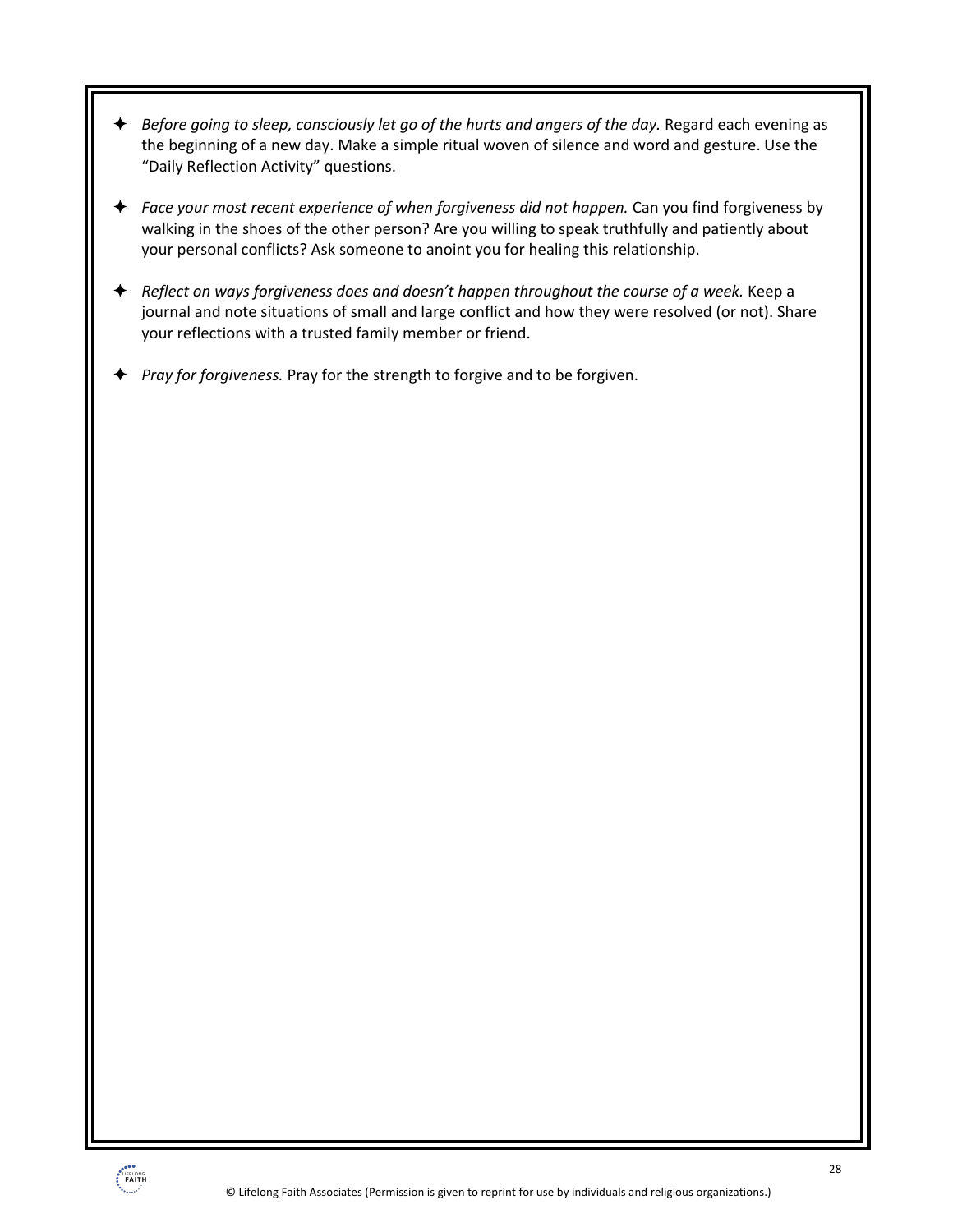- ! *Before going to sleep, consciously let go of the hurts and angers of the day.* Regard each evening as the beginning of a new day. Make a simple ritual woven of silence and word and gesture. Use the "Daily Reflection Activity" questions.
- ! *Face your most recent experience of when forgiveness did not happen.* Can you find forgiveness by walking in the shoes of the other person? Are you willing to speak truthfully and patiently about your personal conflicts? Ask someone to anoint you for healing this relationship.
- ! *Reflect on ways forgiveness does and doesn't happen throughout the course of a week.* Keep a journal and note situations of small and large conflict and how they were resolved (or not). Share your reflections with a trusted family member or friend.
- ! *Pray for forgiveness.* Pray for the strength to forgive and to be forgiven.

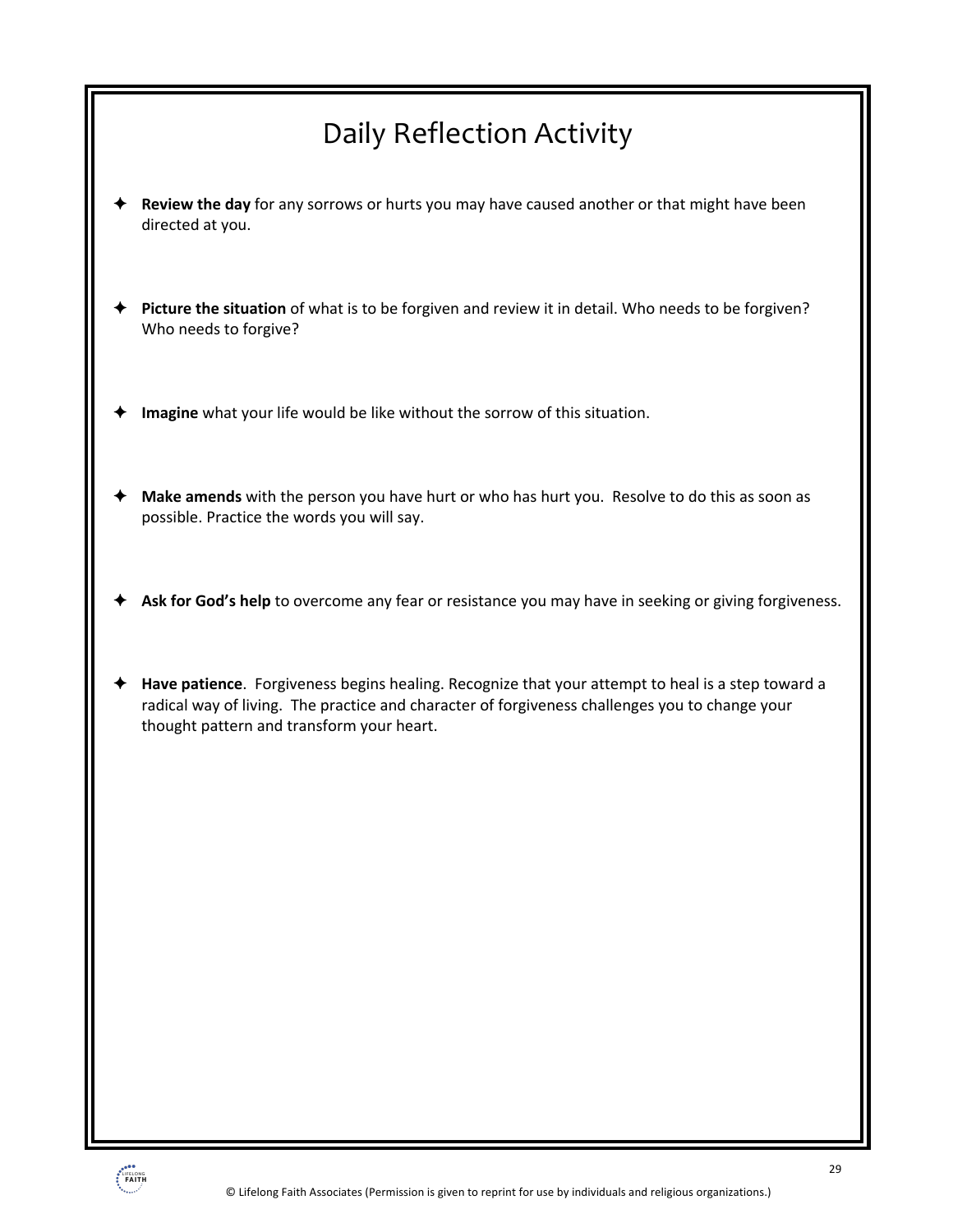## Daily Reflection Activity

- ! **Review the day** for any sorrows or hurts you may have caused another or that might have been directed at you.
- ! **Picture the situation** of what is to be forgiven and review it in detail. Who needs to be forgiven? Who needs to forgive?
- Imagine what your life would be like without the sorrow of this situation.
- ! **Make amends** with the person you have hurt or who has hurt you. Resolve to do this as soon as possible. Practice the words you will say.
- Ask for God's help to overcome any fear or resistance you may have in seeking or giving forgiveness.
- ! **Have patience**. Forgiveness begins healing. Recognize that your attempt to heal is a step toward a radical way of living. The practice and character of forgiveness challenges you to change your thought pattern and transform your heart.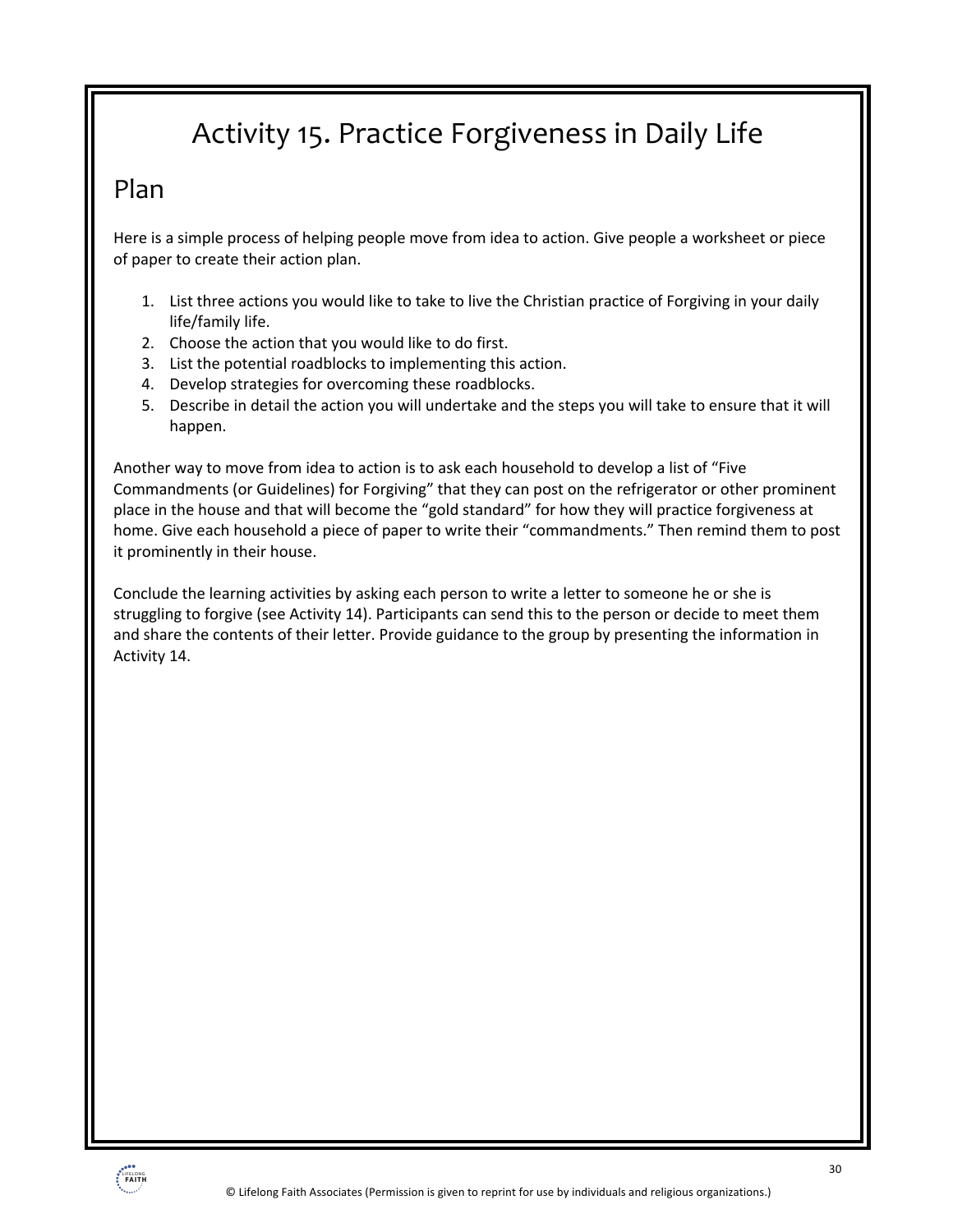## Activity 15. Practice Forgiveness in Daily Life

### Plan

Here is a simple process of helping people move from idea to action. Give people a worksheet or piece of paper to create their action plan.

- 1. List three actions you would like to take to live the Christian practice of Forgiving in your daily life/family life.
- 2. Choose the action that you would like to do first.
- 3. List the potential roadblocks to implementing this action.
- 4. Develop strategies for overcoming these roadblocks.
- 5. Describe in detail the action you will undertake and the steps you will take to ensure that it will happen.

Another way to move from idea to action is to ask each household to develop a list of "Five Commandments (or Guidelines) for Forgiving" that they can post on the refrigerator or other prominent place in the house and that will become the "gold standard" for how they will practice forgiveness at home. Give each household a piece of paper to write their "commandments." Then remind them to post it prominently in their house.

Conclude the learning activities by asking each person to write a letter to someone he or she is struggling to forgive (see Activity 14). Participants can send this to the person or decide to meet them and share the contents of their letter. Provide guidance to the group by presenting the information in Activity 14.